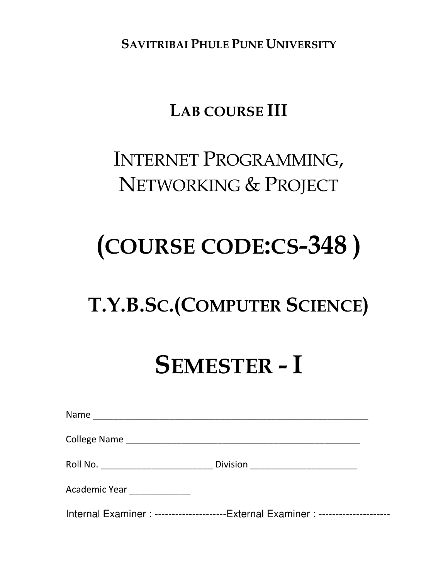**SAVITRIBAI PHULE PUNE UNIVERSITY**

# **LAB COURSE III**

# INTERNET PROGRAMMING, NETWORKING & PROJECT

# **(COURSE CODE:CS-348 )**

# **T.Y.B.SC.(COMPUTER SCIENCE)**

# **SEMESTER - I**

| Name                        |                                                                                |
|-----------------------------|--------------------------------------------------------------------------------|
|                             |                                                                                |
|                             | Division __________________________                                            |
| Academic Year _____________ |                                                                                |
|                             | Internal Examiner: --------------------External Examiner: -------------------- |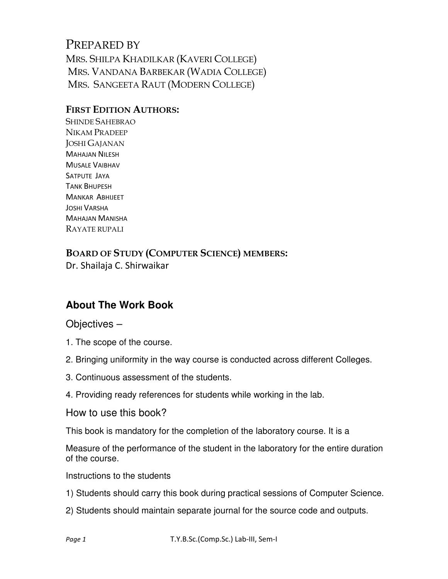# PREPARED BY MRS. SHILPA KHADILKAR (KAVERI COLLEGE) MRS. VANDANA BARBEKAR (WADIA COLLEGE) MRS. SANGEETA RAUT (MODERN COLLEGE)

#### **FIRST EDITION AUTHORS:**

SHINDE SAHEBRAO NIKAM PRADEEP JOSHI GAJANAN MAHAJAN NILESH MUSALE VAIBHAV SATPUTE JAYA TANK BHUPESH MANKAR ABHIJEET JOSHI VARSHA MAHAJAN MANISHA RAYATE RUPALI

**BOARD OF STUDY (COMPUTER SCIENCE) MEMBERS:**  Dr. Shailaja C. Shirwaikar

# **About The Work Book**

#### Objectives –

- 1. The scope of the course.
- 2. Bringing uniformity in the way course is conducted across different Colleges.
- 3. Continuous assessment of the students.
- 4. Providing ready references for students while working in the lab.

How to use this book?

This book is mandatory for the completion of the laboratory course. It is a

Measure of the performance of the student in the laboratory for the entire duration of the course.

Instructions to the students

- 1) Students should carry this book during practical sessions of Computer Science.
- 2) Students should maintain separate journal for the source code and outputs.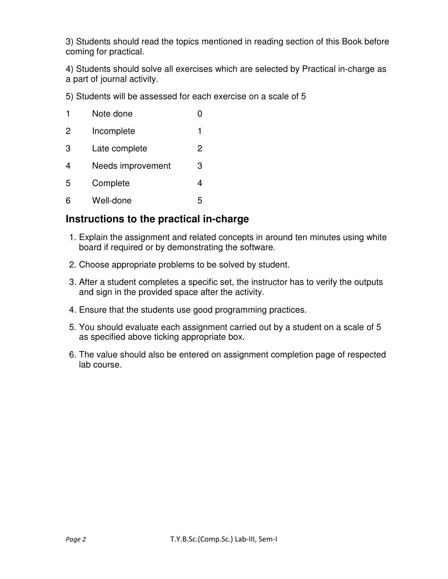3) Students should read the topics mentioned in reading section of this Book before coming for practical.

4) Students should solve all exercises which are selected by Practical in-charge as a part of journal activity.

5) Students will be assessed for each exercise on a scale of 5

| 1              | Note done         |   |
|----------------|-------------------|---|
| $\overline{2}$ | Incomplete        | 1 |
| 3              | Late complete     | 2 |
| 4              | Needs improvement | 3 |
| 5              | Complete          | 4 |
| 6              | Well-done         | 5 |

## **Instructions to the practical in-charge**

- 1. Explain the assignment and related concepts in around ten minutes using white board if required or by demonstrating the software.
- 2. Choose appropriate problems to be solved by student.
- 3. After a student completes a specific set, the instructor has to verify the outputs and sign in the provided space after the activity.
- 4. Ensure that the students use good programming practices.
- 5. You should evaluate each assignment carried out by a student on a scale of 5 as specified above ticking appropriate box.
- 6. The value should also be entered on assignment completion page of respected lab course.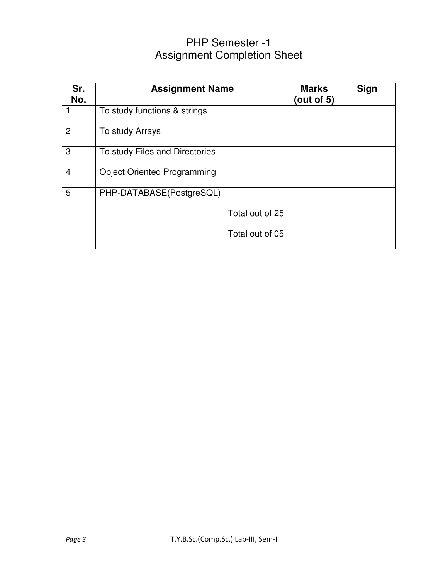# PHP Semester -1 Assignment Completion Sheet

| Sr.<br>No.     | <b>Assignment Name</b>             | <b>Marks</b><br>(out of $5$ ) | Sign |
|----------------|------------------------------------|-------------------------------|------|
|                | To study functions & strings       |                               |      |
| $\overline{2}$ | To study Arrays                    |                               |      |
| 3              | To study Files and Directories     |                               |      |
| $\overline{4}$ | <b>Object Oriented Programming</b> |                               |      |
| 5              | PHP-DATABASE(PostgreSQL)           |                               |      |
|                | Total out of 25                    |                               |      |
|                | Total out of 05                    |                               |      |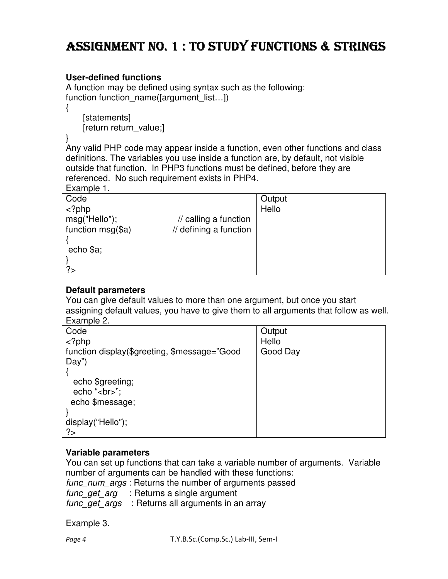# ASSIGNMENT NO. 1 : TO STUDY FUNCTIONS & STRINGS

#### **User-defined functions**

A function may be defined using syntax such as the following: function function name([argument\_list...])

 [statements] [return return\_value;]

}

{

Any valid PHP code may appear inside a function, even other functions and class definitions. The variables you use inside a function are, by default, not visible outside that function. In PHP3 functions must be defined, before they are referenced. No such requirement exists in PHP4.

Example 1.

| Code                |                                   | Output |
|---------------------|-----------------------------------|--------|
| $<$ ?php            |                                   | Hello  |
| msg("Hello");       | $\prime\prime$ calling a function |        |
| function $msg(\$a)$ | // defining a function            |        |
|                     |                                   |        |
| echo \$a;           |                                   |        |
|                     |                                   |        |
| ?                   |                                   |        |

#### **Default parameters**

You can give default values to more than one argument, but once you start assigning default values, you have to give them to all arguments that follow as well. Example 2.

| Code                                         | Output   |
|----------------------------------------------|----------|
| $<$ ?php                                     | Hello    |
| function display(\$greeting, \$message="Good | Good Day |
| Day")                                        |          |
|                                              |          |
| echo \$greeting;                             |          |
| echo "<br>";                                 |          |
| echo \$message;                              |          |
|                                              |          |
| display("Hello");                            |          |
| ?                                            |          |

#### **Variable parameters**

You can set up functions that can take a variable number of arguments. Variable number of arguments can be handled with these functions:

func\_num\_args : Returns the number of arguments passed

func\_get\_arg : Returns a single argument

func get  $\angle a \, r$ gs : Returns all arguments in an array

Example 3.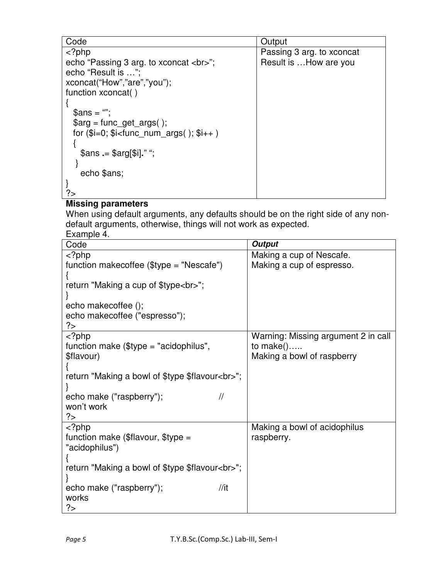| Code                                             | Output                    |
|--------------------------------------------------|---------------------------|
| $<$ ?php                                         | Passing 3 arg. to xconcat |
| echo "Passing 3 arg. to xconcat<br>";            | Result is How are you     |
| echo "Result is ":                               |                           |
| xconcat("How","are","you");                      |                           |
| function xconcat()                               |                           |
|                                                  |                           |
| $\mathsf{Sans} = \mathsf{m}$                     |                           |
| $\frac{3}{2}$ sarg = func_get_args();            |                           |
| for $(\$i=0; \$i<$ func_num_args $()$ ; $\$i++)$ |                           |
|                                                  |                           |
| $\frac{1}{2}$ \$ans .= \$arg[\$i]." ";           |                           |
|                                                  |                           |
| echo \$ans;                                      |                           |
|                                                  |                           |
|                                                  |                           |

### **Missing parameters**

When using default arguments, any defaults should be on the right side of any nondefault arguments, otherwise, things will not work as expected.

Example 4.

| Code                                            | <b>Output</b>                       |
|-------------------------------------------------|-------------------------------------|
| php</td <td>Making a cup of Nescafe.</td>       | Making a cup of Nescafe.            |
| function makecoffee $(\$type = "Nescafe")$      | Making a cup of espresso.           |
|                                                 |                                     |
| return "Making a cup of \$type<br>";            |                                     |
|                                                 |                                     |
| echo makecoffee ();                             |                                     |
| echo makecoffee ("espresso");                   |                                     |
| ?>                                              |                                     |
| $php$                                           | Warning: Missing argument 2 in call |
| function make $$type = "acidophilus",$          | to $make()$                         |
| \$flavour)                                      | Making a bowl of raspberry          |
|                                                 |                                     |
| return "Making a bowl of \$type \$flavour<br>"; |                                     |
|                                                 |                                     |
| $\frac{1}{2}$<br>echo make ("raspberry");       |                                     |
| won't work                                      |                                     |
| ?                                               |                                     |
| php</td <td>Making a bowl of acidophilus</td>   | Making a bowl of acidophilus        |
| function make (\$flavour, \$type =              | raspberry.                          |
| "acidophilus")                                  |                                     |
|                                                 |                                     |
| return "Making a bowl of \$type \$flavour<br>"; |                                     |
|                                                 |                                     |
| //it<br>echo make ("raspberry");                |                                     |
| works                                           |                                     |
| ?>                                              |                                     |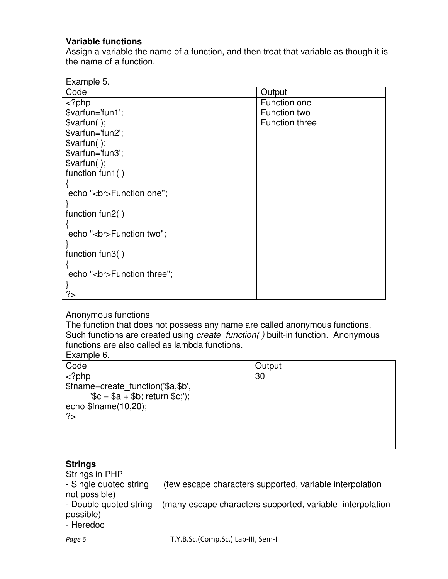#### **Variable functions**

Assign a variable the name of a function, and then treat that variable as though it is the name of a function.

| -xamnie . |  |
|-----------|--|
|-----------|--|

| Code                       | Output                |
|----------------------------|-----------------------|
| $<$ ?php                   | Function one          |
| \$varfun='fun1';           | <b>Function two</b>   |
| $$varfun()$ ;              | <b>Function three</b> |
| \$varfun='fun2';           |                       |
| $$varfun()$ ;              |                       |
| \$varfun='fun3';           |                       |
| $$varfun()$ ;              |                       |
| function fun1()            |                       |
|                            |                       |
| echo "<br>Function one";   |                       |
|                            |                       |
| function fun2()            |                       |
|                            |                       |
| echo "<br>Function two";   |                       |
|                            |                       |
| function fun3 $()$         |                       |
|                            |                       |
| echo "<br>Function three"; |                       |
|                            |                       |
| </td <td></td>             |                       |

#### Anonymous functions

The function that does not possess any name are called anonymous functions. Such functions are created using *create function()* built-in function. Anonymous functions are also called as lambda functions.

#### Example 6.

| Code                                                                         | Output |
|------------------------------------------------------------------------------|--------|
| $php$                                                                        | 30     |
| \$fname=create function('\$a,\$b',<br>$\sqrt{6}$ = \$a + \$b; return \$c;'); |        |
| echo $$$ fname $(10,20)$ ;                                                   |        |
| ?                                                                            |        |
|                                                                              |        |
|                                                                              |        |

#### **Strings**

Strings in PHP<br>- Single quoted string (few escape characters supported, variable interpolation not possible)

- Double quoted string (many escape characters supported, variable interpolation possible)

- Heredoc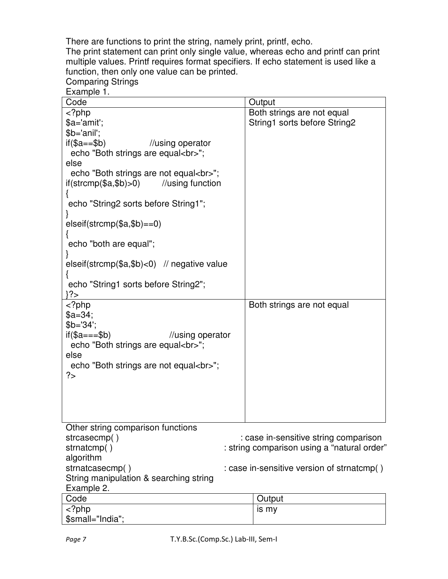There are functions to print the string, namely print, printf, echo.

The print statement can print only single value, whereas echo and printf can print multiple values. Printf requires format specifiers. If echo statement is used like a function, then only one value can be printed. Comparing Strings

| Example 1.                                        |                                             |
|---------------------------------------------------|---------------------------------------------|
| Code                                              | Output                                      |
| $<$ ?php                                          | Both strings are not equal                  |
| \$a='amit';                                       | String1 sorts before String2                |
| \$b='anil';                                       |                                             |
| $if$ (\$a==\$b)<br>//using operator               |                                             |
| echo "Both strings are equal<br>";                |                                             |
| else                                              |                                             |
| echo "Both strings are not equal<br>";            |                                             |
| $if(\text{stromp}(\$a,\$b) > 0)$ //using function |                                             |
|                                                   |                                             |
| echo "String2 sorts before String1";              |                                             |
|                                                   |                                             |
| $elseif(strcmp($a, $b) == 0)$                     |                                             |
|                                                   |                                             |
| echo "both are equal";                            |                                             |
|                                                   |                                             |
| elseif(strcmp( $a, sb$ )<0) // negative value     |                                             |
|                                                   |                                             |
| echo "String1 sorts before String2";              |                                             |
| }?>                                               |                                             |
| php</td <td>Both strings are not equal</td>       | Both strings are not equal                  |
| $a=34$ ;                                          |                                             |
| $$b=34$                                           |                                             |
| $if$ (\$a===\$b)<br>//using operator              |                                             |
| echo "Both strings are equal<br>";                |                                             |
| else                                              |                                             |
| echo "Both strings are not equal<br>";            |                                             |
| ?>                                                |                                             |
|                                                   |                                             |
|                                                   |                                             |
|                                                   |                                             |
|                                                   |                                             |
| Other string comparison functions                 |                                             |
| strcasecmp()                                      | : case in-sensitive string comparison       |
| strnatcmp()                                       | : string comparison using a "natural order" |
| algorithm                                         |                                             |
| strnatcasecmp()                                   | : case in-sensitive version of strnatcmp()  |
| String manipulation & searching string            |                                             |

Example 2. Code **Output**  $\overline{\langle$  ?php \$small="India"; is my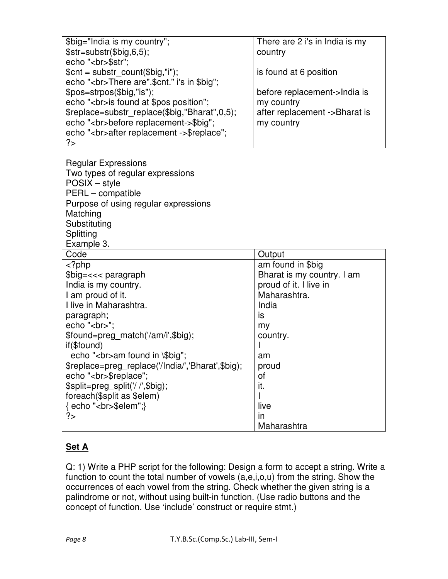| \$big="India is my country";                     | There are 2 i's in India is my |
|--------------------------------------------------|--------------------------------|
| $$str = substr($big, 6, 5);$                     | country                        |
| echo "<br>\$str";                                |                                |
| $$cnt = substr count ($big,"i");$                | is found at 6 position         |
| echo "<br>>>>>>There are".\$cnt." i's in \$big"; |                                |
| \$pos=strpos(\$big,"is");                        | before replacement->India is   |
| echo "<br>is found at \$pos position";           | my country                     |
| \$replace=substr replace(\$big,"Bharat",0,5);    | after replacement ->Bharat is  |
| echo "<br>before replacement->\$big";            | my country                     |
| echo "<br>after replacement ->\$replace";        |                                |
| ?                                                |                                |

Regular Expressions Two types of regular expressions POSIX – style PERL – compatible Purpose of using regular expressions Matching **Substituting** Splitting Example 3.

| Code                                              | Output                     |
|---------------------------------------------------|----------------------------|
| $<$ ?php                                          | am found in \$big          |
| $$big=<<$ paragraph                               | Bharat is my country. I am |
| India is my country.                              | proud of it. I live in     |
| I am proud of it.                                 | Maharashtra.               |
| I live in Maharashtra.                            | India                      |
| paragraph;                                        | is                         |
| echo "<br>";                                      | my                         |
| \$found=preg match('/am/i',\$big);                | country.                   |
| if(\$found)                                       |                            |
| echo "<br>am found in \\$big";                    | am                         |
| \$replace=preg replace('/India/','Bharat',\$big); | proud                      |
| echo "<br>\$replace";                             | οf                         |
| \$split=preg split('//',\$big);                   | it.                        |
| foreach(\$split as \$elem)                        |                            |
| { echo "<br>\$elem";}                             | live                       |
| ?>                                                | $\mathsf{I}$               |
|                                                   | Maharashtra                |

#### **Set A**

Q: 1) Write a PHP script for the following: Design a form to accept a string. Write a function to count the total number of vowels (a,e,i,o,u) from the string. Show the occurrences of each vowel from the string. Check whether the given string is a palindrome or not, without using built-in function. (Use radio buttons and the concept of function. Use 'include' construct or require stmt.)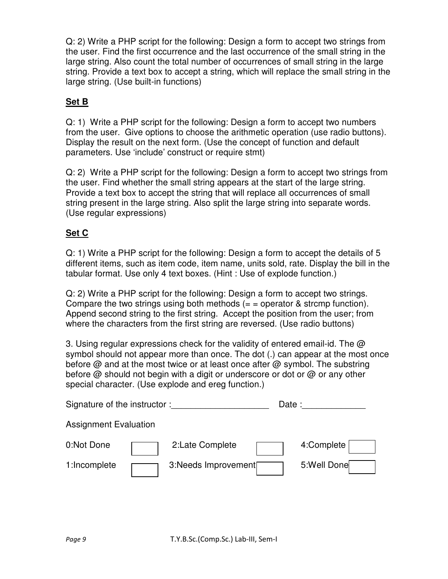Q: 2) Write a PHP script for the following: Design a form to accept two strings from the user. Find the first occurrence and the last occurrence of the small string in the large string. Also count the total number of occurrences of small string in the large string. Provide a text box to accept a string, which will replace the small string in the large string. (Use built-in functions)

### **Set B**

Q: 1) Write a PHP script for the following: Design a form to accept two numbers from the user. Give options to choose the arithmetic operation (use radio buttons). Display the result on the next form. (Use the concept of function and default parameters. Use 'include' construct or require stmt)

Q: 2) Write a PHP script for the following: Design a form to accept two strings from the user. Find whether the small string appears at the start of the large string. Provide a text box to accept the string that will replace all occurrences of small string present in the large string. Also split the large string into separate words. (Use regular expressions)

#### **Set C**

Q: 1) Write a PHP script for the following: Design a form to accept the details of 5 different items, such as item code, item name, units sold, rate. Display the bill in the tabular format. Use only 4 text boxes. (Hint : Use of explode function.)

Q: 2) Write a PHP script for the following: Design a form to accept two strings. Compare the two strings using both methods  $(=$  = operator & strcmp function). Append second string to the first string. Accept the position from the user; from where the characters from the first string are reversed. (Use radio buttons)

3. Using regular expressions check for the validity of entered email-id. The  $\omega$ symbol should not appear more than once. The dot (.) can appear at the most once before @ and at the most twice or at least once after @ symbol. The substring before @ should not begin with a digit or underscore or dot or @ or any other special character. (Use explode and ereg function.)

| Signature of the instructor: |  |                     | Date : |             |  |
|------------------------------|--|---------------------|--------|-------------|--|
| <b>Assignment Evaluation</b> |  |                     |        |             |  |
| 0:Not Done                   |  | 2:Late Complete     |        | 4:Complete  |  |
| 1:Incomplete                 |  | 3:Needs Improvement |        | 5:Well Done |  |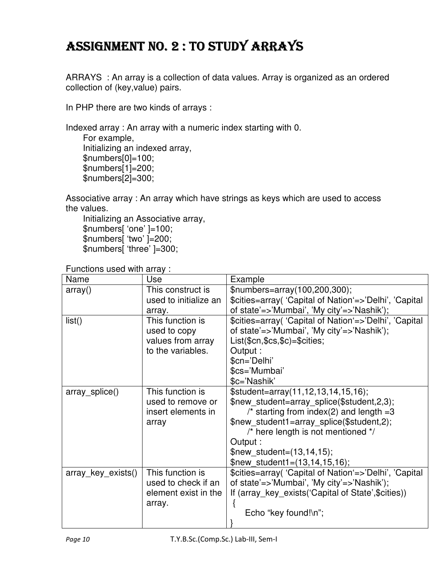# ASSIGNMENT NO. 2: TO STUDY ARRAYS

ARRAYS : An array is a collection of data values. Array is organized as an ordered collection of (key,value) pairs.

In PHP there are two kinds of arrays :

Indexed array : An array with a numeric index starting with 0.

 For example, Initializing an indexed array, \$numbers[0]=100; \$numbers[1]=200; \$numbers[2]=300;

Associative array : An array which have strings as keys which are used to access the values.

 Initializing an Associative array, \$numbers[ 'one' ]=100; \$numbers[ 'two' ]=200; \$numbers[ 'three' ]=300;

Functions used with array :

| Name               | Use                   | Example                                                |
|--------------------|-----------------------|--------------------------------------------------------|
| array()            | This construct is     | \$numbers=array(100,200,300);                          |
|                    | used to initialize an | \$cities=array( 'Capital of Nation'=>'Delhi', 'Capital |
|                    | array.                | of state'=>'Mumbai', 'My city'=>'Nashik');             |
| list()             | This function is      | \$cities=array( 'Capital of Nation'=>'Delhi', 'Capital |
|                    | used to copy          | of state'=>'Mumbai', 'My city'=>'Nashik');             |
|                    | values from array     | List(\$cn,\$cs,\$c)=\$cities;                          |
|                    | to the variables.     | Output:                                                |
|                    |                       | \$cn='Delhi'                                           |
|                    |                       | \$cs='Mumbai'                                          |
|                    |                       | \$c='Nashik'                                           |
| array_splice()     | This function is      | $$student=array(11,12,13,14,15,16);$                   |
|                    | used to remove or     | \$new student=array splice(\$student,2,3);             |
|                    | insert elements in    | /* starting from index(2) and length $=3$              |
|                    | array                 | \$new student1=array_splice(\$student,2);              |
|                    |                       | $\prime^*$ here length is not mentioned $\prime$       |
|                    |                       | Output :                                               |
|                    |                       | \$new student= $(13, 14, 15)$ ;                        |
|                    |                       | \$new student1= $(13, 14, 15, 16)$ ;                   |
| array_key_exists() | This function is      | \$cities=array( 'Capital of Nation'=>'Delhi', 'Capital |
|                    | used to check if an   | of state'=>'Mumbai', 'My city'=>'Nashik');             |
|                    | element exist in the  | If (array key exists ('Capital of State', \$cities))   |
|                    | array.                |                                                        |
|                    |                       | Echo "key found!\n";                                   |
|                    |                       |                                                        |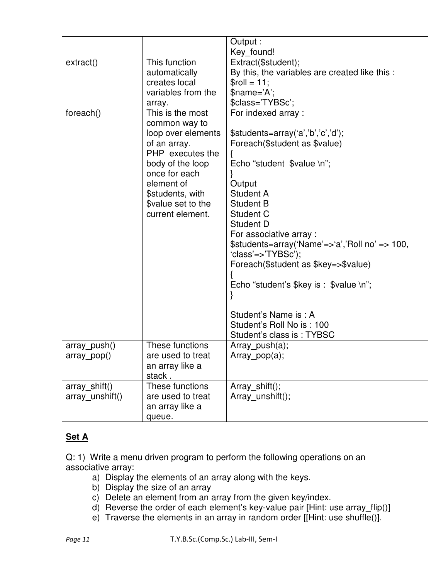|                 |                                | Output:                                                         |
|-----------------|--------------------------------|-----------------------------------------------------------------|
|                 |                                | Key found!                                                      |
| extract()       | This function                  | Extract(\$student);                                             |
|                 | automatically<br>creates local | By this, the variables are created like this :<br>$$roll = 11;$ |
|                 | variables from the             | \$name='A';                                                     |
|                 |                                | \$class='TYBSc';                                                |
| foreach()       | array.<br>This is the most     | For indexed array:                                              |
|                 | common way to                  |                                                                 |
|                 | loop over elements             | \$students=array('a','b','c','d');                              |
|                 | of an array.                   | Foreach(\$student as \$value)                                   |
|                 | PHP executes the               |                                                                 |
|                 | body of the loop               | Echo "student \$value \n";                                      |
|                 | once for each                  |                                                                 |
|                 | element of                     | Output                                                          |
|                 | \$students, with               | Student A                                                       |
|                 | \$value set to the             | <b>Student B</b>                                                |
|                 | current element.               | Student C                                                       |
|                 |                                | Student D                                                       |
|                 |                                | For associative array :                                         |
|                 |                                | \$students=array('Name'=>'a','Roll no' => 100,                  |
|                 |                                | 'class'=>'TYBSc');                                              |
|                 |                                | Foreach(\$student as \$key=>\$value)                            |
|                 |                                |                                                                 |
|                 |                                | Echo "student's $\frac{1}{2}$ key is : $\frac{1}{2}$ value \n"; |
|                 |                                |                                                                 |
|                 |                                |                                                                 |
|                 |                                | Student's Name is: A                                            |
|                 |                                | Student's Roll No is: 100                                       |
|                 |                                | Student's class is: TYBSC                                       |
| array_push()    | These functions                | $Array\_push(a);$                                               |
| array pop()     | are used to treat              | $Array\_pop(a);$                                                |
|                 | an array like a                |                                                                 |
|                 | stack.                         |                                                                 |
| array_shift()   | These functions                | Array shift();                                                  |
| array unshift() | are used to treat              | Array unshift();                                                |
|                 | an array like a                |                                                                 |
|                 | queue.                         |                                                                 |

#### **Set A**

Q: 1) Write a menu driven program to perform the following operations on an associative array:

- a) Display the elements of an array along with the keys.
- b) Display the size of an array
- c) Delete an element from an array from the given key/index.
- d) Reverse the order of each element's key-value pair [Hint: use array\_flip()]
- e) Traverse the elements in an array in random order [[Hint: use shuffle()].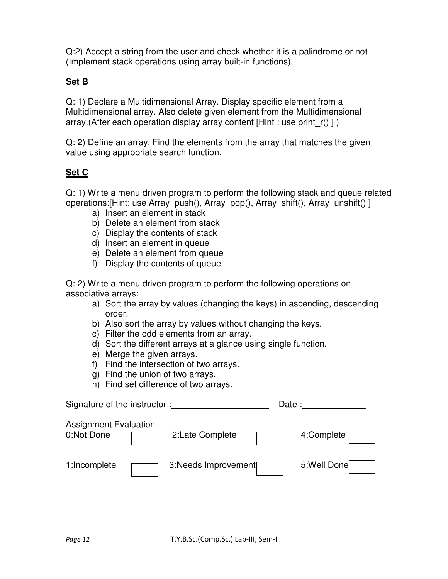Q:2) Accept a string from the user and check whether it is a palindrome or not (Implement stack operations using array built-in functions).

#### **Set B**

Q: 1) Declare a Multidimensional Array. Display specific element from a Multidimensional array. Also delete given element from the Multidimensional array.(After each operation display array content [Hint : use print r() ] )

Q: 2) Define an array. Find the elements from the array that matches the given value using appropriate search function.

#### **Set C**

Q: 1) Write a menu driven program to perform the following stack and queue related operations: [Hint: use Array push(), Array pop(), Array shift(), Array unshift() ]

- a) Insert an element in stack
- b) Delete an element from stack
- c) Display the contents of stack
- d) Insert an element in queue
- e) Delete an element from queue
- f) Display the contents of queue

Q: 2) Write a menu driven program to perform the following operations on associative arrays:

- a) Sort the array by values (changing the keys) in ascending, descending order.
- b) Also sort the array by values without changing the keys.
- c) Filter the odd elements from an array.
- d) Sort the different arrays at a glance using single function.
- e) Merge the given arrays.
- f) Find the intersection of two arrays.
- g) Find the union of two arrays.
- h) Find set difference of two arrays.

| Signature of the instructor:               |                     | Date: |             |
|--------------------------------------------|---------------------|-------|-------------|
| <b>Assignment Evaluation</b><br>0:Not Done | 2:Late Complete     |       | 4:Complete  |
| 1:Incomplete                               | 3:Needs Improvement |       | 5:Well Done |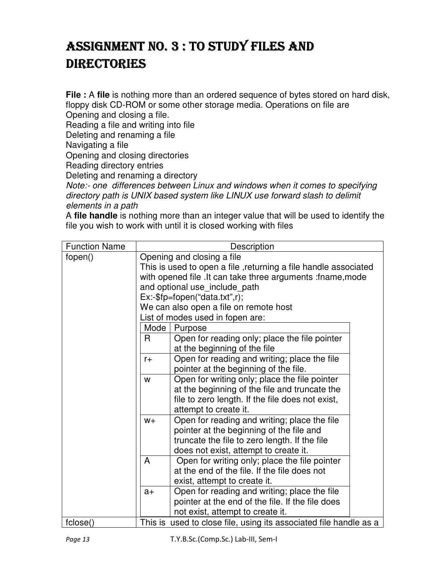# ASSIGNMENT NO. 3 : TO STUDY FILES AND **DIRECTORIES**

**File :** A file is nothing more than an ordered sequence of bytes stored on hard disk, floppy disk CD-ROM or some other storage media. Operations on file are

Opening and closing a file.

Reading a file and writing into file

Deleting and renaming a file

Navigating a file

Opening and closing directories

Reading directory entries

Deleting and renaming a directory

Note:- one differences between Linux and windows when it comes to specifying directory path is UNIX based system like LINUX use forward slash to delimit elements in a path

A **file handle** is nothing more than an integer value that will be used to identify the file you wish to work with until it is closed working with files

| <b>Function Name</b> | Description                                                       |                                                                                                                                                                                                                                                                               |  |  |  |  |
|----------------------|-------------------------------------------------------------------|-------------------------------------------------------------------------------------------------------------------------------------------------------------------------------------------------------------------------------------------------------------------------------|--|--|--|--|
| fopen()              |                                                                   | Opening and closing a file<br>This is used to open a file, returning a file handle associated<br>with opened file . It can take three arguments : fname, mode<br>and optional use include path<br>$Ex:\$fp = fopen("data.txt", r);$<br>We can also open a file on remote host |  |  |  |  |
|                      |                                                                   | List of modes used in fopen are:                                                                                                                                                                                                                                              |  |  |  |  |
|                      | $\mathsf{R}$                                                      | Mode<br>Purpose<br>Open for reading only; place the file pointer<br>at the beginning of the file                                                                                                                                                                              |  |  |  |  |
|                      | $r +$                                                             | Open for reading and writing; place the file<br>pointer at the beginning of the file.                                                                                                                                                                                         |  |  |  |  |
|                      | W                                                                 | Open for writing only; place the file pointer<br>at the beginning of the file and truncate the<br>file to zero length. If the file does not exist,<br>attempt to create it.                                                                                                   |  |  |  |  |
|                      | $W +$                                                             | Open for reading and writing; place the file<br>pointer at the beginning of the file and<br>truncate the file to zero length. If the file<br>does not exist, attempt to create it.                                                                                            |  |  |  |  |
|                      | A                                                                 | Open for writing only; place the file pointer<br>at the end of the file. If the file does not<br>exist, attempt to create it.                                                                                                                                                 |  |  |  |  |
|                      | $a+$                                                              | Open for reading and writing; place the file<br>pointer at the end of the file. If the file does<br>not exist, attempt to create it.                                                                                                                                          |  |  |  |  |
| fclose()             | This is used to close file, using its associated file handle as a |                                                                                                                                                                                                                                                                               |  |  |  |  |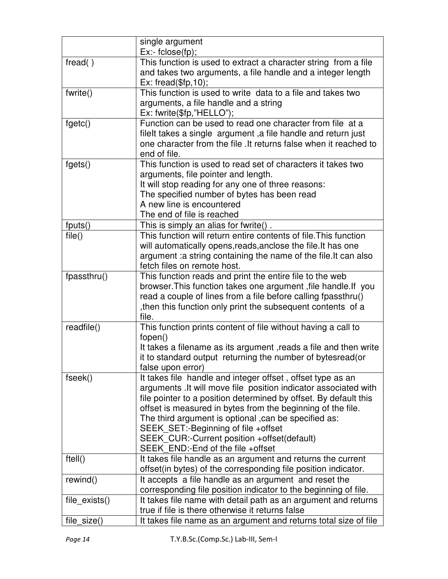|               | single argument                                                   |
|---------------|-------------------------------------------------------------------|
|               | $Ex: false$ (fp);                                                 |
| fread()       | This function is used to extract a character string from a file   |
|               | and takes two arguments, a file handle and a integer length       |
|               | $Ex: \text{freq}(\$fp, 10);$                                      |
| fwrite()      | This function is used to write data to a file and takes two       |
|               | arguments, a file handle and a string                             |
|               | Ex: fwrite(\$fp,"HELLO");                                         |
| fgetc()       | Function can be used to read one character from file at a         |
|               | filelt takes a single argument, a file handle and return just     |
|               | one character from the file . It returns false when it reached to |
|               | end of file.                                                      |
| fgets()       | This function is used to read set of characters it takes two      |
|               | arguments, file pointer and length.                               |
|               | It will stop reading for any one of three reasons:                |
|               | The specified number of bytes has been read                       |
|               | A new line is encountered                                         |
|               | The end of file is reached                                        |
| fputs()       | This is simply an alias for fwrite().                             |
| file()        | This function will return entire contents of file. This function  |
|               | will automatically opens, reads, anclose the file. It has one     |
|               | argument : a string containing the name of the file. It can also  |
|               | fetch files on remote host.                                       |
| fpassthru()   | This function reads and print the entire file to the web          |
|               | browser. This function takes one argument, file handle. If you    |
|               | read a couple of lines from a file before calling fpassthru()     |
|               | then this function only print the subsequent contents of a        |
|               | file.                                                             |
| readfile()    | This function prints content of file without having a call to     |
|               | fopen()                                                           |
|               | It takes a filename as its argument, reads a file and then write  |
|               | it to standard output returning the number of bytesread (or       |
|               | false upon error)                                                 |
| fseek()       | It takes file handle and integer offset, offset type as an        |
|               | arguments . It will move file position indicator associated with  |
|               | file pointer to a position determined by offset. By default this  |
|               | offset is measured in bytes from the beginning of the file.       |
|               | The third argument is optional , can be specified as:             |
|               | SEEK_SET:-Beginning of file +offset                               |
|               | SEEK CUR:-Current position +offset(default)                       |
|               | SEEK END:-End of the file +offset                                 |
| ftell()       | It takes file handle as an argument and returns the current       |
|               | offset(in bytes) of the corresponding file position indicator.    |
| rewind()      | It accepts a file handle as an argument and reset the             |
|               | corresponding file position indicator to the beginning of file.   |
| file exists() | It takes file name with detail path as an argument and returns    |
|               | true if file is there otherwise it returns false                  |
| file_size()   | It takes file name as an argument and returns total size of file  |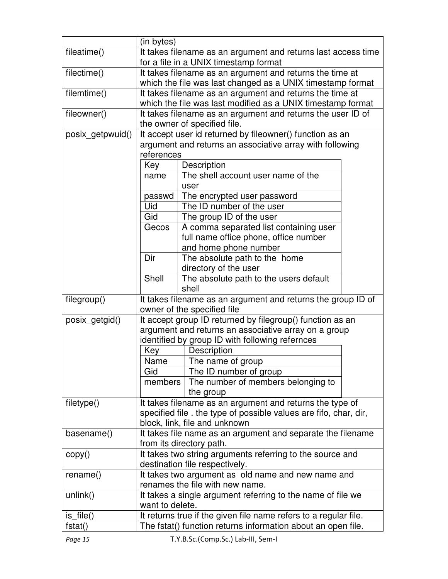|                  | (in bytes)                                                                                  |                                                                   |  |  |  |
|------------------|---------------------------------------------------------------------------------------------|-------------------------------------------------------------------|--|--|--|
| fileatime()      | It takes filename as an argument and returns last access time                               |                                                                   |  |  |  |
|                  | for a file in a UNIX timestamp format                                                       |                                                                   |  |  |  |
| filectime()      | It takes filename as an argument and returns the time at                                    |                                                                   |  |  |  |
|                  |                                                                                             | which the file was last changed as a UNIX timestamp format        |  |  |  |
| filemtime()      |                                                                                             | It takes filename as an argument and returns the time at          |  |  |  |
|                  |                                                                                             | which the file was last modified as a UNIX timestamp format       |  |  |  |
| fileowner()      |                                                                                             | It takes filename as an argument and returns the user ID of       |  |  |  |
|                  |                                                                                             | the owner of specified file.                                      |  |  |  |
| posix getpwuid() |                                                                                             | It accept user id returned by fileowner() function as an          |  |  |  |
|                  |                                                                                             | argument and returns an associative array with following          |  |  |  |
|                  | references                                                                                  |                                                                   |  |  |  |
|                  | Key                                                                                         | Description                                                       |  |  |  |
|                  | name                                                                                        | The shell account user name of the                                |  |  |  |
|                  |                                                                                             | user                                                              |  |  |  |
|                  | passwd                                                                                      | The encrypted user password                                       |  |  |  |
|                  | Uid                                                                                         | The ID number of the user                                         |  |  |  |
|                  | Gid                                                                                         | The group ID of the user                                          |  |  |  |
|                  | Gecos                                                                                       | A comma separated list containing user                            |  |  |  |
|                  |                                                                                             | full name office phone, office number                             |  |  |  |
|                  |                                                                                             | and home phone number                                             |  |  |  |
|                  | Dir<br>The absolute path to the home                                                        |                                                                   |  |  |  |
|                  | directory of the user                                                                       |                                                                   |  |  |  |
|                  | Shell<br>The absolute path to the users default                                             |                                                                   |  |  |  |
|                  | shell                                                                                       |                                                                   |  |  |  |
| filegroup()      | It takes filename as an argument and returns the group ID of<br>owner of the specified file |                                                                   |  |  |  |
| posix_getgid()   | It accept group ID returned by filegroup() function as an                                   |                                                                   |  |  |  |
|                  | argument and returns an associative array on a group                                        |                                                                   |  |  |  |
|                  |                                                                                             | identified by group ID with following refernces                   |  |  |  |
|                  | Key                                                                                         | Description                                                       |  |  |  |
|                  | Name                                                                                        | The name of group                                                 |  |  |  |
|                  | Gid                                                                                         | The ID number of group                                            |  |  |  |
|                  | members                                                                                     | The number of members belonging to                                |  |  |  |
|                  |                                                                                             | the group                                                         |  |  |  |
| filetype()       |                                                                                             | It takes filename as an argument and returns the type of          |  |  |  |
|                  |                                                                                             | specified file . the type of possible values are fifo, char, dir, |  |  |  |
|                  |                                                                                             | block, link, file and unknown                                     |  |  |  |
| basename()       | It takes file name as an argument and separate the filename                                 |                                                                   |  |  |  |
|                  | from its directory path.                                                                    |                                                                   |  |  |  |
| copy()           | It takes two string arguments referring to the source and                                   |                                                                   |  |  |  |
|                  | destination file respectively.                                                              |                                                                   |  |  |  |
| rename()         | It takes two argument as old name and new name and                                          |                                                                   |  |  |  |
|                  | renames the file with new name.                                                             |                                                                   |  |  |  |
| unlink()         | It takes a single argument referring to the name of file we                                 |                                                                   |  |  |  |
|                  | want to delete.                                                                             |                                                                   |  |  |  |
| $is$ _file()     | It returns true if the given file name refers to a regular file.                            |                                                                   |  |  |  |
| fstat()          | The fstat() function returns information about an open file.                                |                                                                   |  |  |  |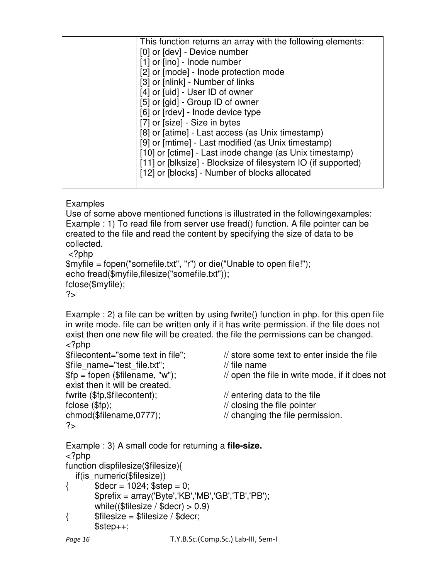|  | This function returns an array with the following elements:   |
|--|---------------------------------------------------------------|
|  | [0] or [dev] - Device number                                  |
|  | [1] or [ino] - Inode number                                   |
|  | [2] or [mode] - Inode protection mode                         |
|  | [3] or [nlink] - Number of links                              |
|  | [4] or [uid] - User ID of owner                               |
|  | [5] or [gid] - Group ID of owner                              |
|  | [6] or [rdev] - Inode device type                             |
|  | [7] or [size] - Size in bytes                                 |
|  | [8] or [atime] - Last access (as Unix timestamp)              |
|  | [9] or [mtime] - Last modified (as Unix timestamp)            |
|  | [10] or [ctime] - Last inode change (as Unix timestamp)       |
|  | [11] or [blksize] - Blocksize of filesystem IO (if supported) |
|  | [12] or [blocks] - Number of blocks allocated                 |
|  |                                                               |
|  |                                                               |

**Examples** 

Use of some above mentioned functions is illustrated in the followingexamples: Example : 1) To read file from server use fread() function. A file pointer can be created to the file and read the content by specifying the size of data to be collected.

<?php

```
$myfile = fopen("somefile.txt", "r") or die("Unable to open file!"); 
echo fread($myfile,filesize("somefile.txt")); 
fclose($myfile); 
?
```
Example : 2) a file can be written by using fwrite() function in php. for this open file in write mode. file can be written only if it has write permission. if the file does not exist then one new file will be created. the file the permissions can be changed. <?php

| \$filecontent="some text in file";                          | // store some text to enter inside the file    |
|-------------------------------------------------------------|------------------------------------------------|
| \$file name="test file.txt";                                | $\frac{1}{1}$ file name                        |
| $$fp = foren ($filename, "w");$                             | // open the file in write mode, if it does not |
| exist then it will be created.                              |                                                |
| fwrite (\$fp,\$filecontent);                                | $\frac{1}{2}$ entering data to the file        |
| $fclose($ $$fp);$                                           | // closing the file pointer                    |
| chmod(\$filename,0777);                                     | // changing the file permission.               |
| 2                                                           |                                                |
| Example : 3) A small code for returning a <b>file-size.</b> |                                                |

```
<?php 
function dispfilesize($filesize){ 
  if(is_numeric($filesize))
\{ $decr = 1024; $step = 0;
        $prefix = array('Byte','KB','MB','GB','TB','PB'); 
       while(($filesize / $decr) > 0.9)
{ $filesize = $filesize / $deer; $step++;
```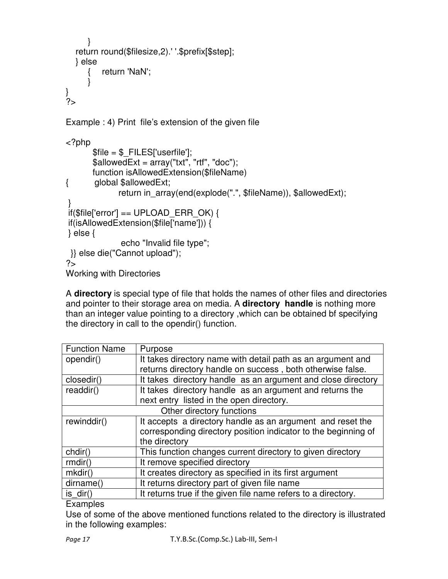```
 } 
   return round($filesize,2).' '.$prefix[$step]; 
   } else 
      { return 'NaN'; 
      } 
} 
?> 
Example : 4) Print file's extension of the given file 
<?php 
       $file = $ FILES['userfile'];
       $allowedExt = array("txt", "rtf", "doc"); function isAllowedExtension($fileName) 
{ global $allowedExt; 
              return in_array(end(explode(".", $fileName)), $allowedExt);
 } 
if($file['error'] == UPLOAD ERR OK) {
 if(isAllowedExtension($file['name'])) { 
 } else { 
                echo "Invalid file type"; 
 }} else die("Cannot upload"); 
?> 
Working with Directories
```
A **directory** is special type of file that holds the names of other files and directories and pointer to their storage area on media. A **directory handle** is nothing more than an integer value pointing to a directory ,which can be obtained bf specifying the directory in call to the opendir() function.

| <b>Function Name</b>      | Purpose                                                        |  |  |
|---------------------------|----------------------------------------------------------------|--|--|
| opendir()                 | It takes directory name with detail path as an argument and    |  |  |
|                           | returns directory handle on success, both otherwise false.     |  |  |
| closedir()                | It takes directory handle as an argument and close directory   |  |  |
| readdir()                 | It takes directory handle as an argument and returns the       |  |  |
|                           | next entry listed in the open directory.                       |  |  |
| Other directory functions |                                                                |  |  |
| rewinddir()               | It accepts a directory handle as an argument and reset the     |  |  |
|                           | corresponding directory position indicator to the beginning of |  |  |
|                           | the directory                                                  |  |  |
| chdir()                   | This function changes current directory to given directory     |  |  |
| rmdir()                   | It remove specified directory                                  |  |  |
| $m$ kdir()                | It creates directory as specified in its first argument        |  |  |
| dirname()                 | It returns directory part of given file name                   |  |  |
| is $dir()$                | It returns true if the given file name refers to a directory.  |  |  |

#### Examples

Use of some of the above mentioned functions related to the directory is illustrated in the following examples: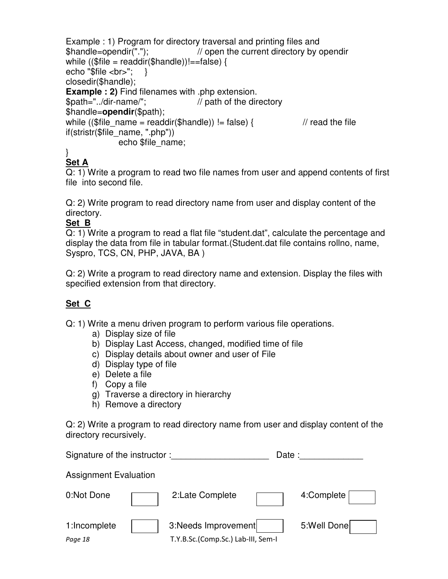```
Example : 1) Program for directory traversal and printing files and 
$handle=opendir("."); // open the current directory by opendir 
while (($file = readdir($handle))!==false) {
echo "$file <br/> <br>"; }
closedir($handle);
Example : 2) Find filenames with .php extension. 
$path="../dir-name/"; // path of the directory 
$handle=opendir($path); 
while (($file_name = readdir($handle)) != false) { \frac{1}{2} // read the file
if(stristr($file_name, ".php")) 
             echo $file_name;
```
#### } **Set A**

Q: 1) Write a program to read two file names from user and append contents of first file into second file.

Q: 2) Write program to read directory name from user and display content of the directory.

## **Set B**

Q: 1) Write a program to read a flat file "student.dat", calculate the percentage and display the data from file in tabular format.(Student.dat file contains rollno, name, Syspro, TCS, CN, PHP, JAVA, BA )

Q: 2) Write a program to read directory name and extension. Display the files with specified extension from that directory.

# **Set C**

Q: 1) Write a menu driven program to perform various file operations.

- a) Display size of file
- b) Display Last Access, changed, modified time of file
- c) Display details about owner and user of File
- d) Display type of file
- e) Delete a file
- f) Copy a file
- g) Traverse a directory in hierarchy
- h) Remove a directory

Q: 2) Write a program to read directory name from user and display content of the directory recursively.

| Signature of the instructor: |  | Date:                                                     |             |
|------------------------------|--|-----------------------------------------------------------|-------------|
| <b>Assignment Evaluation</b> |  |                                                           |             |
| 0:Not Done                   |  | 2:Late Complete                                           | 4:Complete  |
| 1:Incomplete<br>Page 18      |  | 3:Needs Improvement<br>T.Y.B.Sc.(Comp.Sc.) Lab-III, Sem-I | 5:Well Done |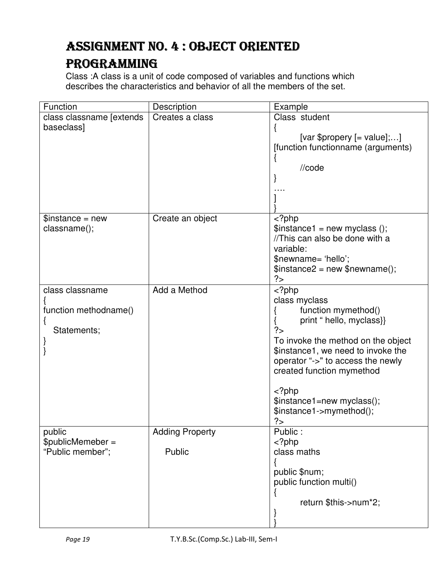# ASSIGNMENT NO. 4 : OBJECT ORIENTED PROGRAMMING

Class :A class is a unit of code composed of variables and functions which describes the characteristics and behavior of all the members of the set.

| Function                                                | Description                      | Example                                                                                                                                                                                                                                                                                                      |
|---------------------------------------------------------|----------------------------------|--------------------------------------------------------------------------------------------------------------------------------------------------------------------------------------------------------------------------------------------------------------------------------------------------------------|
| class classname [extends<br>baseclass]                  | Creates a class                  | Class student<br>[var \$propery $[=$ value];]<br>[function functionname (arguments)<br>//code                                                                                                                                                                                                                |
| $\text{S}$ instance = new<br>classname();               | Create an object                 | $php\text{Sinstance1} = \text{new myclass} ();//This can also be done with avariable:$newname= 'hello';$instance2 = new $newname();?$                                                                                                                                                                        |
| class classname<br>function methodname()<br>Statements; | Add a Method                     | $<$ ?php<br>class myclass<br>function mymethod()<br>print " hello, myclass}}<br>?><br>To invoke the method on the object<br>\$instance1, we need to invoke the<br>operator "->" to access the newly<br>created function mymethod<br>$<$ ?php<br>\$instance1=new myclass();<br>\$instance1->mymethod();<br>?> |
| public<br>\$publicMemeber =<br>"Public member";         | <b>Adding Property</b><br>Public | Public:<br>$<$ ?php<br>class maths<br>public \$num;<br>public function multi()<br>return \$this->num*2;                                                                                                                                                                                                      |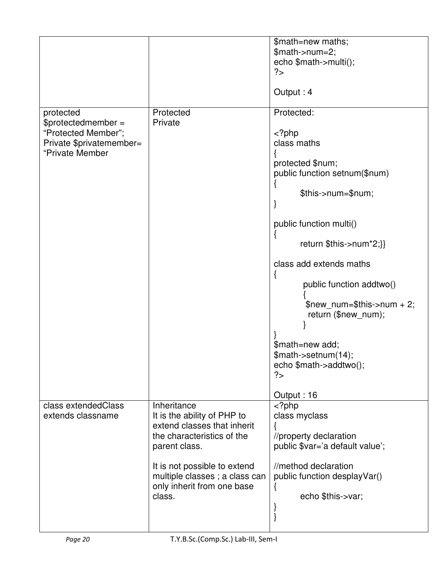|                          |                               | \$math=new maths;                   |
|--------------------------|-------------------------------|-------------------------------------|
|                          |                               | $$math>--num=2;$                    |
|                          |                               | echo \$math->multi();               |
|                          |                               | ?                                   |
|                          |                               |                                     |
|                          |                               | Output: 4                           |
| protected                | Protected                     | Protected:                          |
| \$protectedmember =      | Private                       |                                     |
| "Protected Member";      |                               | $<$ ?php                            |
| Private \$privatemember= |                               | class maths                         |
| "Private Member          |                               |                                     |
|                          |                               | protected \$num;                    |
|                          |                               | public function setnum(\$num)       |
|                          |                               |                                     |
|                          |                               | \$this->num=\$num;                  |
|                          |                               |                                     |
|                          |                               |                                     |
|                          |                               | public function multi()             |
|                          |                               |                                     |
|                          |                               | return \$this->num*2;}}             |
|                          |                               |                                     |
|                          |                               | class add extends maths             |
|                          |                               |                                     |
|                          |                               | public function addtwo()            |
|                          |                               |                                     |
|                          |                               | \$new num=\$this->num + 2;          |
|                          |                               | return (\$new_num);                 |
|                          |                               |                                     |
|                          |                               |                                     |
|                          |                               | \$math=new add;                     |
|                          |                               | \$math->setnum(14);                 |
|                          |                               | echo $\mathfrak{S}$ math->addtwo(); |
|                          |                               | ?                                   |
|                          |                               |                                     |
|                          |                               | Output: 16                          |
| class extendedClass      | Inheritance                   | $<$ ?php                            |
| extends classname        | It is the ability of PHP to   | class myclass                       |
|                          | extend classes that inherit   |                                     |
|                          | the characteristics of the    | //property declaration              |
|                          | parent class.                 | public \$var='a default value';     |
|                          |                               |                                     |
|                          | It is not possible to extend  | //method declaration                |
|                          | multiple classes; a class can | public function desplayVar()        |
|                          | only inherit from one base    | ł                                   |
|                          | class.                        | echo \$this->var;                   |
|                          |                               |                                     |
|                          |                               |                                     |
|                          |                               |                                     |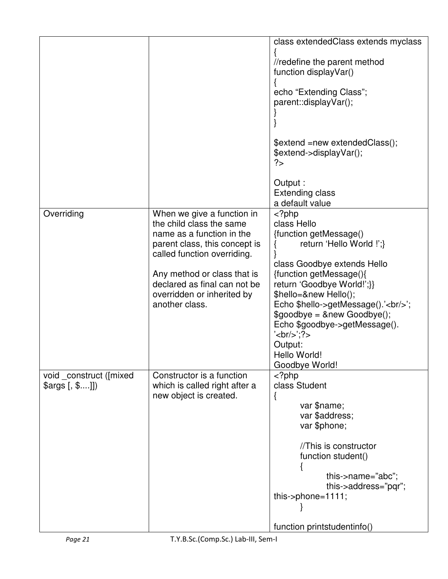|                                                               |                                                            | class extendedClass extends myclass                    |
|---------------------------------------------------------------|------------------------------------------------------------|--------------------------------------------------------|
|                                                               |                                                            |                                                        |
|                                                               |                                                            | //redefine the parent method<br>function displayVar()  |
|                                                               |                                                            |                                                        |
|                                                               |                                                            | echo "Extending Class";                                |
|                                                               |                                                            | parent::displayVar();                                  |
|                                                               |                                                            |                                                        |
|                                                               |                                                            |                                                        |
|                                                               |                                                            | \$extend =new extendedClass();                         |
|                                                               |                                                            | \$extend->displayVar();                                |
|                                                               |                                                            | ?>                                                     |
|                                                               |                                                            | Output :                                               |
|                                                               |                                                            | <b>Extending class</b>                                 |
|                                                               |                                                            | a default value                                        |
| Overriding                                                    | When we give a function in                                 | $<$ ?php                                               |
|                                                               | the child class the same                                   | class Hello                                            |
|                                                               | name as a function in the                                  | {function getMessage()                                 |
|                                                               | parent class, this concept is                              | return 'Hello World !';}                               |
|                                                               | called function overriding.                                |                                                        |
|                                                               | Any method or class that is                                | class Goodbye extends Hello<br>{function getMessage(){ |
|                                                               | declared as final can not be                               | return 'Goodbye World!';}}                             |
|                                                               | overridden or inherited by                                 | \$hello=&new Hello();                                  |
|                                                               | another class.                                             | Echo \$hello->getMessage().'<br>>br/>';                |
|                                                               |                                                            | $\text{\$goodbye} = \text{\&new Goodbye}$ );           |
|                                                               |                                                            | Echo \$goodbye->getMessage().                          |
|                                                               |                                                            | $\text{'br/>}$                                         |
|                                                               |                                                            | Output:                                                |
|                                                               |                                                            | Hello World!                                           |
|                                                               |                                                            | Goodbye World!                                         |
| void _construct ([mixed<br>$\frac{3}{2}$ (, $\frac{3}{2}$ ]]) | Constructor is a function<br>which is called right after a | $<$ ?php<br>class Student                              |
|                                                               | new object is created.                                     |                                                        |
|                                                               |                                                            | Ĺ<br>var \$name;                                       |
|                                                               |                                                            | var \$address;                                         |
|                                                               |                                                            | var \$phone;                                           |
|                                                               |                                                            | //This is constructor                                  |
|                                                               |                                                            | function student()                                     |
|                                                               |                                                            |                                                        |
|                                                               |                                                            | this->name="abc";                                      |
|                                                               |                                                            | this->address="pqr";                                   |
|                                                               |                                                            | this- $>$ phone=1111;                                  |
|                                                               |                                                            |                                                        |
|                                                               |                                                            | function printstudentinfo()                            |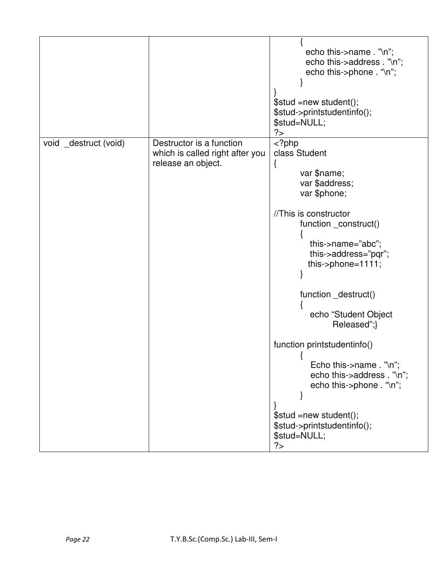|                       |                                                                                   | echo this->name . "\n";<br>echo this->address . "\n";<br>echo this->phone . "\n";<br>\$stud =new student();<br>\$stud->printstudentinfo();<br>\$stud=NULL;<br>?                                                                                                                                                                                                         |
|-----------------------|-----------------------------------------------------------------------------------|-------------------------------------------------------------------------------------------------------------------------------------------------------------------------------------------------------------------------------------------------------------------------------------------------------------------------------------------------------------------------|
| void _destruct (void) | Destructor is a function<br>which is called right after you<br>release an object. | $phpclass Studentłvar $name;var $address;var $phone;//This is constructorfunction _construct()this->name="abc";this->address="pqr";this->phone=1111;function _destruct()echo "Student ObjectReleased";}function printstudentinfo()Echo this->name . "\n";echo this->address . "\n";echo this->phone . "\n";$stud =new student();$stud->printstudentinfo();$stud=NULL;?$ |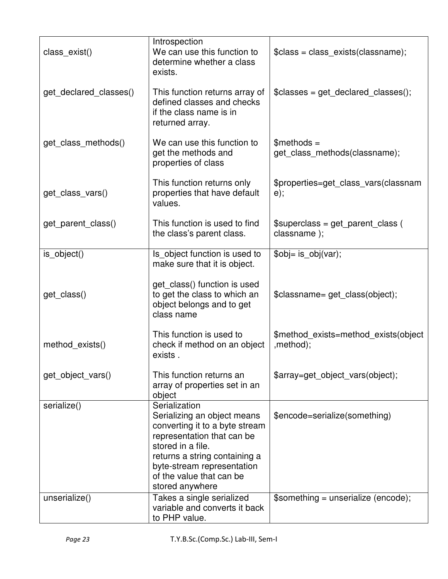| class exist()          | Introspection<br>We can use this function to<br>determine whether a class<br>exists.                                                                                                                                                            | $\text{Sclass} = \text{class} \, \text{exists} (\text{classname});$ |  |
|------------------------|-------------------------------------------------------------------------------------------------------------------------------------------------------------------------------------------------------------------------------------------------|---------------------------------------------------------------------|--|
| get_declared_classes() | This function returns array of<br>defined classes and checks<br>if the class name is in<br>returned array.                                                                                                                                      | $\text{Sclasses} = get declared classes();$                         |  |
| get_class_methods()    | We can use this function to<br>get the methods and<br>properties of class                                                                                                                                                                       | $$methods =$<br>get_class_methods(classname);                       |  |
| get_class_vars()       | This function returns only<br>properties that have default<br>values.                                                                                                                                                                           | \$properties=get_class_vars(classnam<br>$e)$ ;                      |  |
| get parent class()     | This function is used to find<br>the class's parent class.                                                                                                                                                                                      | $$superclass = get parent class ($<br>classname);                   |  |
| is_object()            | Is_object function is used to<br>make sure that it is object.                                                                                                                                                                                   | \$obj= is_obj(var);                                                 |  |
| get_class()            | get_class() function is used<br>to get the class to which an<br>object belongs and to get<br>class name                                                                                                                                         | \$classname= get class(object);                                     |  |
| method exists()        | This function is used to<br>check if method on an object<br>exists.                                                                                                                                                                             | \$method_exists=method_exists(object<br>,method);                   |  |
| get_object_vars()      | This function returns an<br>array of properties set in an<br>object                                                                                                                                                                             | \$array=get_object_vars(object);                                    |  |
| serialize()            | Serialization<br>Serializing an object means<br>converting it to a byte stream<br>representation that can be<br>stored in a file.<br>returns a string containing a<br>byte-stream representation<br>of the value that can be<br>stored anywhere | \$encode=serialize(something)                                       |  |
| unserialize()          | Takes a single serialized<br>variable and converts it back<br>to PHP value.                                                                                                                                                                     | \$something = unserialize (encode);                                 |  |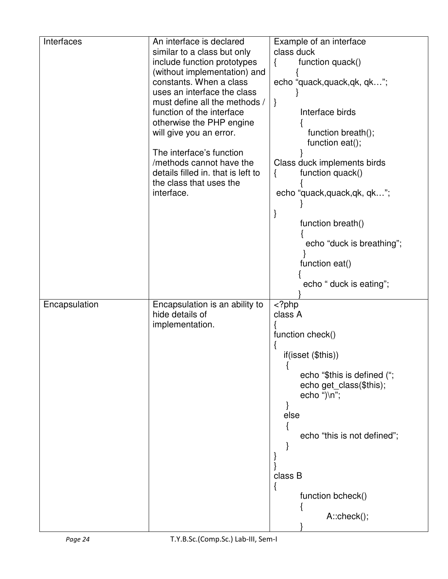| Interfaces    | An interface is declared           | Example of an interface      |
|---------------|------------------------------------|------------------------------|
|               | similar to a class but only        | class duck                   |
|               | include function prototypes        | function quack()<br>₹        |
|               | (without implementation) and       |                              |
|               | constants. When a class            | echo "quack, quack, qk, qk"; |
|               | uses an interface the class        |                              |
|               | must define all the methods /      | $\}$                         |
|               | function of the interface          | Interface birds              |
|               | otherwise the PHP engine           |                              |
|               | will give you an error.            | function breath();           |
|               |                                    | function eat();              |
|               | The interface's function           |                              |
|               | /methods cannot have the           | Class duck implements birds  |
|               | details filled in. that is left to | function quack()<br>$\{$     |
|               | the class that uses the            |                              |
|               | interface.                         | echo "quack, quack, qk, qk"; |
|               |                                    |                              |
|               |                                    |                              |
|               |                                    | function breath()            |
|               |                                    |                              |
|               |                                    | echo "duck is breathing";    |
|               |                                    |                              |
|               |                                    | function eat()               |
|               |                                    | echo " duck is eating";      |
|               |                                    |                              |
| Encapsulation | Encapsulation is an ability to     | $<$ ?php                     |
|               | hide details of                    | class A                      |
|               | implementation.                    |                              |
|               |                                    | function check()             |
|               |                                    |                              |
|               |                                    | if(isset (\$this))           |
|               |                                    | echo "\$this is defined (";  |
|               |                                    | echo get_class(\$this);      |
|               |                                    | echo ")\n";                  |
|               |                                    |                              |
|               |                                    | else                         |
|               |                                    |                              |
|               |                                    | echo "this is not defined";  |
|               |                                    |                              |
|               |                                    |                              |
|               |                                    |                              |
|               |                                    | class B                      |
|               |                                    | ĺ                            |
|               |                                    |                              |
|               |                                    | function bcheck()            |
|               |                                    |                              |
|               |                                    | $A::check()$ ;               |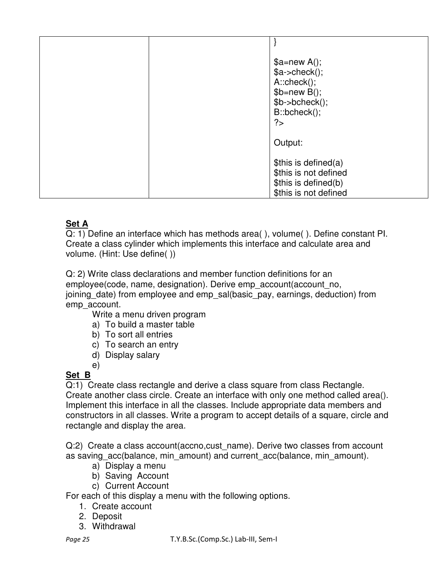| ? | $a = new A();$<br>$a > check()$ ;<br>$A::check()$ ;<br>$$b=new B();$<br>$$b$ ->bcheck();<br>B::bcheck(); |
|---|----------------------------------------------------------------------------------------------------------|
|   | Output:                                                                                                  |
|   | \$this is defined(a)<br>\$this is not defined<br>\$this is defined(b)<br>\$this is not defined           |

### **Set A**

Q: 1) Define an interface which has methods area( ), volume( ). Define constant PI. Create a class cylinder which implements this interface and calculate area and volume. (Hint: Use define( ))

Q: 2) Write class declarations and member function definitions for an employee(code, name, designation). Derive emp\_account(account\_no, joining date) from employee and emp sal(basic pay, earnings, deduction) from emp\_account.

Write a menu driven program

- a) To build a master table
- b) To sort all entries
- c) To search an entry
- d) Display salary
- e)

# **Set B**

Q:1) Create class rectangle and derive a class square from class Rectangle. Create another class circle. Create an interface with only one method called area(). Implement this interface in all the classes. Include appropriate data members and constructors in all classes. Write a program to accept details of a square, circle and rectangle and display the area.

Q:2) Create a class account(accno,cust\_name). Derive two classes from account as saving acc(balance, min amount) and current acc(balance, min amount).

- a) Display a menu
- b) Saving Account
- c) Current Account

For each of this display a menu with the following options.

- 1. Create account
- 2. Deposit
- 3. Withdrawal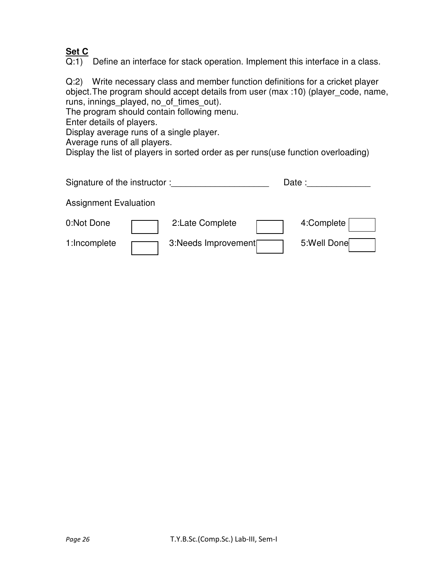# **Set C**

 $\overline{Q:1}$  Define an interface for stack operation. Implement this interface in a class.

Q:2) Write necessary class and member function definitions for a cricket player object. The program should accept details from user (max :10) (player\_code, name, runs, innings\_played, no\_of\_times\_out).

The program should contain following menu.

Enter details of players.

Display average runs of a single player.

Average runs of all players.

Display the list of players in sorted order as per runs(use function overloading)

| Signature of the instructor: |                     | Date: |             |
|------------------------------|---------------------|-------|-------------|
| <b>Assignment Evaluation</b> |                     |       |             |
| 0:Not Done                   | 2:Late Complete     |       | 4:Complete  |
| 1:Incomplete                 | 3:Needs Improvement |       | 5:Well Done |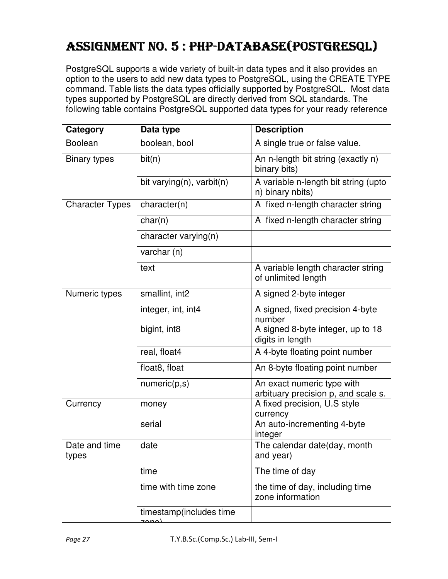# ASSIGNMENT NO. 5 : PHP-DATABASE (POSTGRESQL)

PostgreSQL supports a wide variety of built-in data types and it also provides an option to the users to add new data types to PostgreSQL, using the CREATE TYPE command. Table lists the data types officially supported by PostgreSQL. Most data types supported by PostgreSQL are directly derived from SQL standards. The following table contains PostgreSQL supported data types for your ready reference

| Category               | Data type                        | <b>Description</b>                                                |  |
|------------------------|----------------------------------|-------------------------------------------------------------------|--|
| <b>Boolean</b>         | boolean, bool                    | A single true or false value.                                     |  |
| <b>Binary types</b>    | bit(n)                           | An n-length bit string (exactly n)<br>binary bits)                |  |
|                        | bit varying(n), varbit(n)        | A variable n-length bit string (upto<br>n) binary nbits)          |  |
| <b>Character Types</b> | character(n)                     | A fixed n-length character string                                 |  |
|                        | char(n)                          | A fixed n-length character string                                 |  |
|                        | character varying(n)             |                                                                   |  |
|                        | varchar (n)                      |                                                                   |  |
|                        | text                             | A variable length character string<br>of unlimited length         |  |
| Numeric types          | smallint, int2                   | A signed 2-byte integer                                           |  |
|                        | integer, int, int4               | A signed, fixed precision 4-byte<br>number                        |  |
|                        | bigint, int8                     | A signed 8-byte integer, up to 18<br>digits in length             |  |
|                        | real, float4                     | A 4-byte floating point number                                    |  |
|                        | float8, float                    | An 8-byte floating point number                                   |  |
|                        | numeric(p,s)                     | An exact numeric type with<br>arbituary precision p, and scale s. |  |
| Currency               | money                            | A fixed precision, U.S style<br>currency                          |  |
|                        | serial                           | An auto-incrementing 4-byte<br>integer                            |  |
| Date and time<br>types | date                             | The calendar date(day, month<br>and year)                         |  |
|                        | time                             | The time of day                                                   |  |
|                        | time with time zone              | the time of day, including time<br>zone information               |  |
|                        | timestamp(includes time<br>لمممح |                                                                   |  |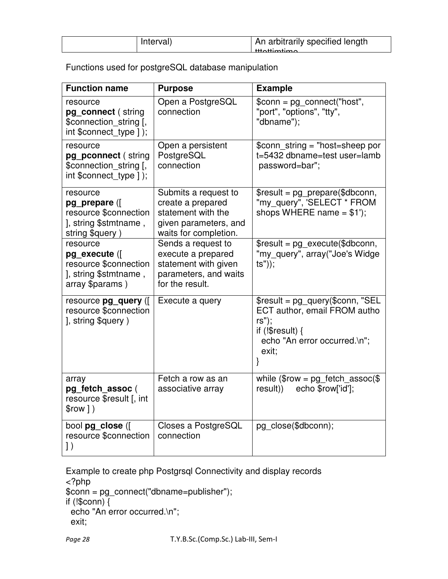| Interval) | An arbitrarily specified length |
|-----------|---------------------------------|
|           | $+$ ttattimtima                 |
|           |                                 |

Functions used for postgreSQL database manipulation

| <b>Function name</b>                                                                          | <b>Purpose</b>                                                                                                    | <b>Example</b>                                                                                                                          |  |
|-----------------------------------------------------------------------------------------------|-------------------------------------------------------------------------------------------------------------------|-----------------------------------------------------------------------------------------------------------------------------------------|--|
| resource<br>pg connect (string<br>\$connection_string [,<br>int \$connect type ]);            | Open a PostgreSQL<br>connection                                                                                   | \$conn = pg_connect("host",<br>"port", "options", "tty",<br>"dbname");                                                                  |  |
| resource<br>pg pconnect (string<br>\$connection string [,<br>int \$connect_type ]);           | Open a persistent<br>PostgreSQL<br>connection                                                                     | \$conn_string = "host=sheep por<br>t=5432 dbname=test user=lamb<br>password=bar";                                                       |  |
| resource<br>pg prepare (<br>resource \$connection<br>], string \$stmtname,<br>string \$query) | Submits a request to<br>create a prepared<br>statement with the<br>given parameters, and<br>waits for completion. | $\frac{1}{2}$ fresult = pg_prepare(\$dbconn,<br>"my_query", 'SELECT * FROM<br>shops WHERE name $= $1$ ');                               |  |
| resource<br>pg execute (<br>resource \$connection<br>], string \$stmtname,<br>array \$params) | Sends a request to<br>execute a prepared<br>statement with given<br>parameters, and waits<br>for the result.      | $\frac{1}{2}$ fresult = pg_execute(\$dbconn,<br>"my query", array("Joe's Widge<br>$(s")$ ;                                              |  |
| resource pg_query ([<br>resource \$connection<br>], string \$query)                           | Execute a query                                                                                                   | \$result = pg_query(\$conn, "SEL<br>ECT author, email FROM autho<br>rs");<br>if $(!$result)$ {<br>echo "An error occurred.\n";<br>exit; |  |
| array<br>pg_fetch_assoc(<br>resource \$result [, int<br>$$row$ $)$                            | Fetch a row as an<br>associative array                                                                            | while $$row = pg_fetch_assoc ($)$<br>echo \$row['id'];<br>result))                                                                      |  |
| bool pg close (<br>resource \$connection<br>$\left  \ \right)$                                | Closes a PostgreSQL<br>connection                                                                                 | pg close(\$dbconn);                                                                                                                     |  |

Example to create php Postgrsql Connectivity and display records <?php \$conn = pg\_connect("dbname=publisher"); if (!\$conn) { echo "An error occurred.\n"; exit;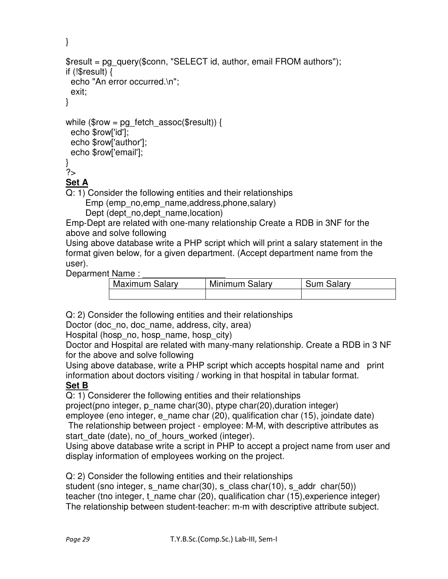```
} 
$result = pg_query($conn, "SELECT id, author, email FROM authors");
if (!$result) { 
  echo "An error occurred.\n"; 
  exit; 
} 
while ($row = pg_fetch_assoc($result)) {
  echo $row['id']; 
  echo $row['author']; 
  echo $row['email']; 
} 
?> 
Set A
```
Q: 1) Consider the following entities and their relationships

Emp (emp\_no,emp\_name,address,phone,salary)

Dept (dept\_no,dept\_name,location)

Emp-Dept are related with one-many relationship Create a RDB in 3NF for the above and solve following

Using above database write a PHP script which will print a salary statement in the format given below, for a given department. (Accept department name from the user).

Deparment Name :

| <b>Maximum Salary</b> | Minimum Salary | <b>Sum Salary</b> |
|-----------------------|----------------|-------------------|
|                       |                |                   |

Q: 2) Consider the following entities and their relationships

Doctor (doc no, doc name, address, city, area)

Hospital (hosp no, hosp name, hosp city)

Doctor and Hospital are related with many-many relationship. Create a RDB in 3 NF for the above and solve following

Using above database, write a PHP script which accepts hospital name and print information about doctors visiting / working in that hospital in tabular format. **Set B**

Q: 1) Considerer the following entities and their relationships

project(pno integer, p\_name char(30), ptype char(20),duration integer) employee (eno integer, e\_name char (20), qualification char (15), joindate date)

 The relationship between project - employee: M-M, with descriptive attributes as start date (date), no of hours\_worked (integer).

Using above database write a script in PHP to accept a project name from user and display information of employees working on the project.

Q: 2) Consider the following entities and their relationships

student (sno integer, s\_name char(30), s\_class char(10), s\_addr char(50)) teacher (tno integer, t\_name char (20), qualification char (15),experience integer) The relationship between student-teacher: m-m with descriptive attribute subject.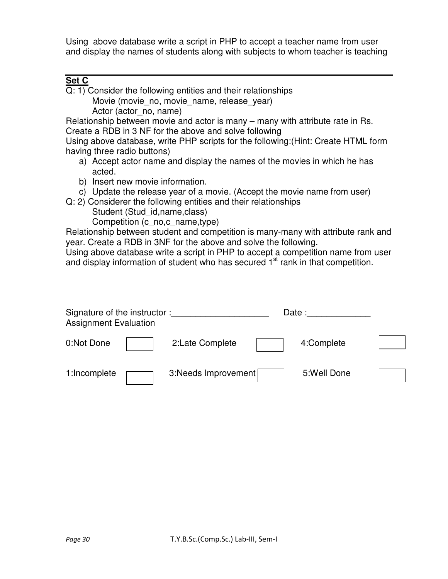Using above database write a script in PHP to accept a teacher name from user and display the names of students along with subjects to whom teacher is teaching

#### **Set C**

Q: 1) Consider the following entities and their relationships Movie (movie\_no, movie\_name, release\_vear) Actor (actor no, name)

Relationship between movie and actor is many – many with attribute rate in Rs. Create a RDB in 3 NF for the above and solve following

Using above database, write PHP scripts for the following:(Hint: Create HTML form having three radio buttons)

- a) Accept actor name and display the names of the movies in which he has acted.
- b) Insert new movie information.
- c) Update the release year of a movie. (Accept the movie name from user)
- Q: 2) Considerer the following entities and their relationships

Student (Stud id,name,class)

Competition (c\_no,c\_name,type)

Relationship between student and competition is many-many with attribute rank and year. Create a RDB in 3NF for the above and solve the following.

Using above database write a script in PHP to accept a competition name from user and display information of student who has secured 1<sup>st</sup> rank in that competition.

| Signature of the instructor:<br><b>Assignment Evaluation</b> |                      | Date:        |  |
|--------------------------------------------------------------|----------------------|--------------|--|
| 0:Not Done                                                   | 2:Late Complete      | 4:Complete   |  |
| 1:Incomplete                                                 | 3: Needs Improvement | 5: Well Done |  |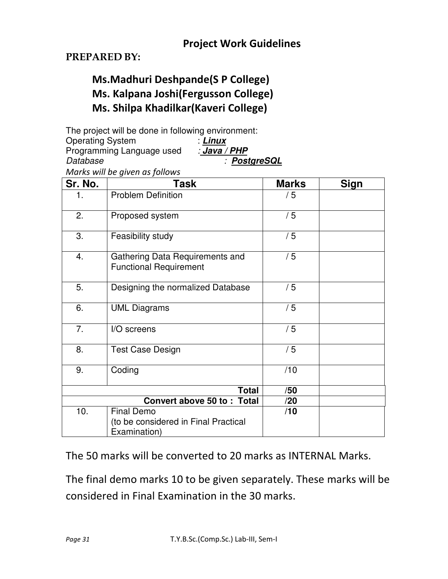## **PREPARED BY:**

# **Ms.Madhuri Deshpande(S P College) Ms. Kalpana Joshi(Fergusson College) Ms. Shilpa Khadilkar(Kaveri College)**

The project will be done in following environment: Operating System : **Linux** Programming Language used Database : **PostgreSQL**

*Marks will be given as follows* 

| Sr. No. | Task                                                                      | <b>Marks</b> | <b>Sign</b> |
|---------|---------------------------------------------------------------------------|--------------|-------------|
| 1.      | <b>Problem Definition</b>                                                 | /5           |             |
| 2.      | Proposed system                                                           | /5           |             |
| 3.      | Feasibility study                                                         | /5           |             |
| 4.      | Gathering Data Requirements and<br><b>Functional Requirement</b>          | /5           |             |
| 5.      | Designing the normalized Database                                         | /5           |             |
| 6.      | <b>UML Diagrams</b>                                                       | /5           |             |
| 7.      | I/O screens                                                               | /5           |             |
| 8.      | <b>Test Case Design</b>                                                   | /5           |             |
| 9.      | Coding                                                                    |              |             |
|         | <b>Total</b>                                                              | /50          |             |
|         | Convert above 50 to: Total                                                | /20          |             |
| 10.     | <b>Final Demo</b><br>(to be considered in Final Practical<br>Examination) | /10          |             |

The 50 marks will be converted to 20 marks as INTERNAL Marks.

The final demo marks 10 to be given separately. These marks will be considered in Final Examination in the 30 marks.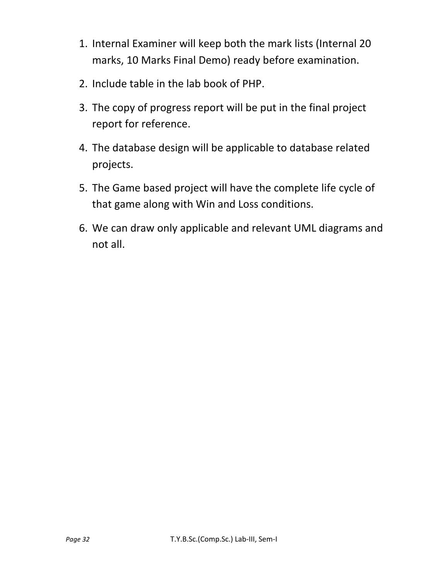- 1. Internal Examiner will keep both the mark lists (Internal 20 marks, 10 Marks Final Demo) ready before examination.
- 2. Include table in the lab book of PHP.
- 3. The copy of progress report will be put in the final project report for reference.
- 4. The database design will be applicable to database related projects.
- 5. The Game based project will have the complete life cycle of that game along with Win and Loss conditions.
- 6. We can draw only applicable and relevant UML diagrams and not all.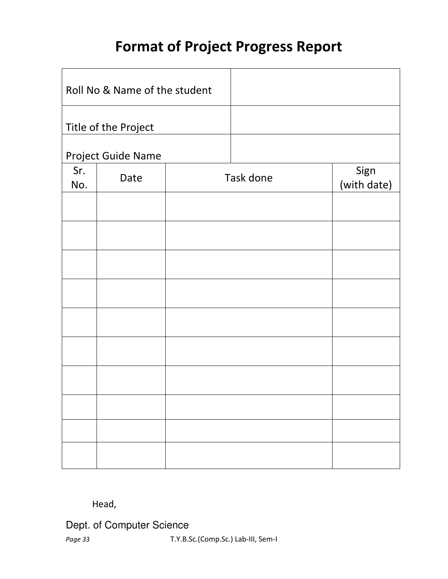# **Format of Project Progress Report**

|                      | Roll No & Name of the student |  |           |                     |
|----------------------|-------------------------------|--|-----------|---------------------|
| Title of the Project |                               |  |           |                     |
|                      | Project Guide Name            |  |           |                     |
| Sr.<br>No.           | Date                          |  | Task done | Sign<br>(with date) |
|                      |                               |  |           |                     |
|                      |                               |  |           |                     |
|                      |                               |  |           |                     |
|                      |                               |  |           |                     |
|                      |                               |  |           |                     |
|                      |                               |  |           |                     |
|                      |                               |  |           |                     |
|                      |                               |  |           |                     |
|                      |                               |  |           |                     |
|                      |                               |  |           |                     |

## Head,

Dept. of Computer Science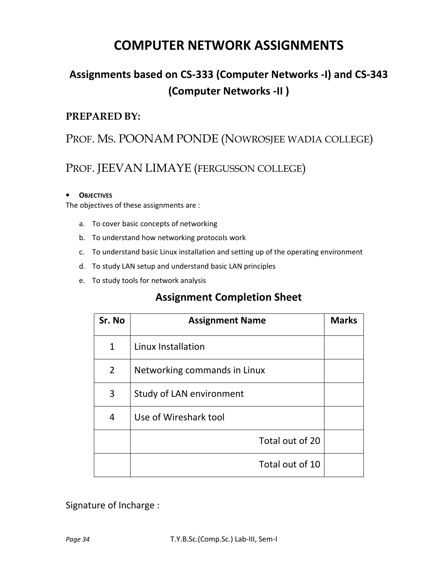# **COMPUTER NETWORK ASSIGNMENTS**

# **Assignments based on CS-333 (Computer Networks -I) and CS-343 (Computer Networks -II )**

## **PREPARED BY:**

# PROF. MS. POONAM PONDE (NOWROSJEE WADIA COLLEGE)

# PROF. JEEVAN LIMAYE (FERGUSSON COLLEGE)

#### • **OBJECTIVES**

The objectives of these assignments are :

- a. To cover basic concepts of networking
- b. To understand how networking protocols work
- c. To understand basic Linux installation and setting up of the operating environment
- d. To study LAN setup and understand basic LAN principles
- e. To study tools for network analysis

# **Assignment Completion Sheet**

| Sr. No         | <b>Assignment Name</b>       | <b>Marks</b> |
|----------------|------------------------------|--------------|
| $\mathbf{1}$   | Linux Installation           |              |
| $\overline{2}$ | Networking commands in Linux |              |
| 3              | Study of LAN environment     |              |
| 4              | Use of Wireshark tool        |              |
|                | Total out of 20              |              |
|                | Total out of 10              |              |

Signature of Incharge :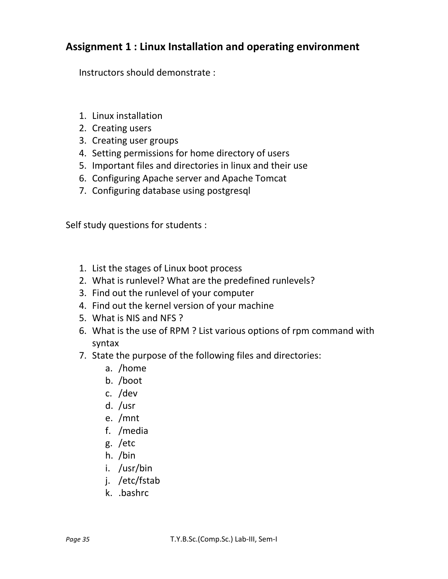# **Assignment 1 : Linux Installation and operating environment**

Instructors should demonstrate :

- 1. Linux installation
- 2. Creating users
- 3. Creating user groups
- 4. Setting permissions for home directory of users
- 5. Important files and directories in linux and their use
- 6. Configuring Apache server and Apache Tomcat
- 7. Configuring database using postgresql

Self study questions for students :

- 1. List the stages of Linux boot process
- 2. What is runlevel? What are the predefined runlevels?
- 3. Find out the runlevel of your computer
- 4. Find out the kernel version of your machine
- 5. What is NIS and NFS ?
- 6. What is the use of RPM ? List various options of rpm command with syntax
- 7. State the purpose of the following files and directories:
	- a. /home
	- b. /boot
	- c. /dev
	- d. /usr
	- e. /mnt
	- f. /media
	- g. /etc
	- h. /bin
	- i. /usr/bin
	- j. /etc/fstab
	- k. .bashrc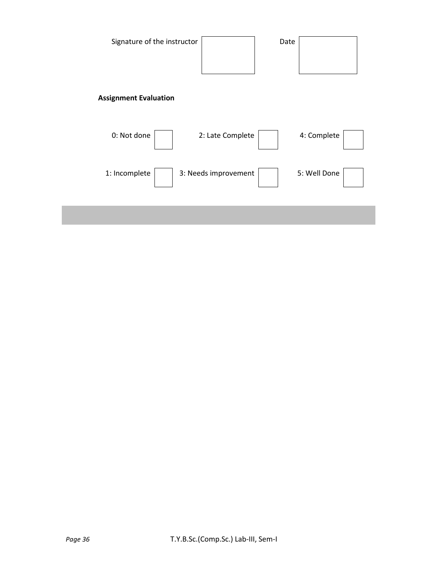| Signature of the instructor  |                      | Date |              |
|------------------------------|----------------------|------|--------------|
| <b>Assignment Evaluation</b> |                      |      |              |
| 0: Not done                  | 2: Late Complete     |      | 4: Complete  |
| 1: Incomplete                | 3: Needs improvement |      | 5: Well Done |
|                              |                      |      |              |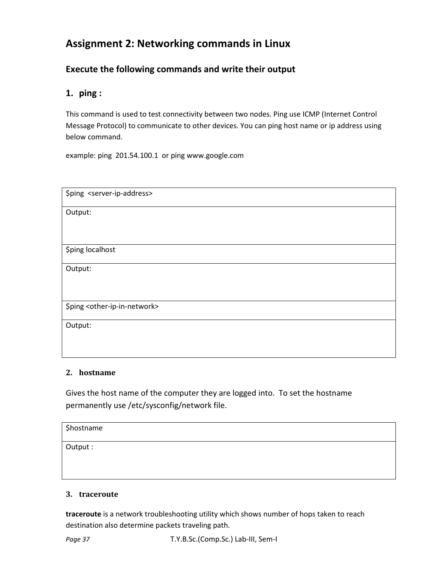# **Assignment 2: Networking commands in Linux**

#### **Execute the following commands and write their output**

#### **1. ping :**

This command is used to test connectivity between two nodes. Ping use ICMP (Internet Control Message Protocol) to communicate to other devices. You can ping host name or ip address using below command.

example: ping 201.54.100.1 or ping www.google.com

| \$ping <server-ip-address></server-ip-address>     |
|----------------------------------------------------|
| Output:                                            |
|                                                    |
| \$ping localhost                                   |
|                                                    |
| Output:                                            |
|                                                    |
|                                                    |
| \$ping <other-ip-in-network></other-ip-in-network> |
| Output:                                            |
|                                                    |
|                                                    |

#### **2. hostname**

Gives the host name of the computer they are logged into. To set the hostname permanently use /etc/sysconfig/network file.

| \$hostname |  |
|------------|--|
| Output:    |  |
|            |  |

#### **3. traceroute**

**traceroute** is a network troubleshooting utility which shows number of hops taken to reach destination also determine packets traveling path.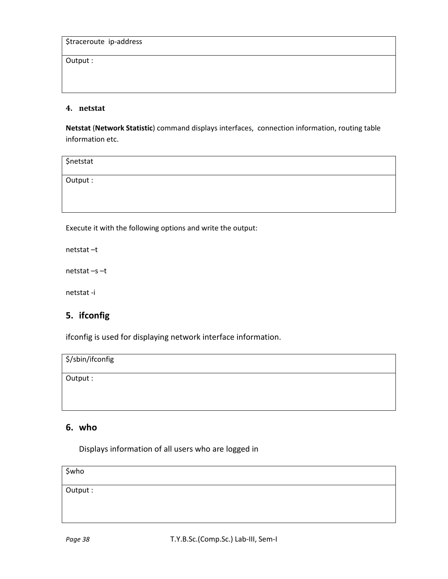Output :

#### **4. netstat**

**Netstat** (**Network Statistic**) command displays interfaces, connection information, routing table information etc.

\$netstat Output :

Execute it with the following options and write the output:

netstat –t

netstat –s –t

netstat -i

#### **5. ifconfig**

ifconfig is used for displaying network interface information.

\$/sbin/ifconfig

Output :

#### **6. who**

Displays information of all users who are logged in

\$who

Output :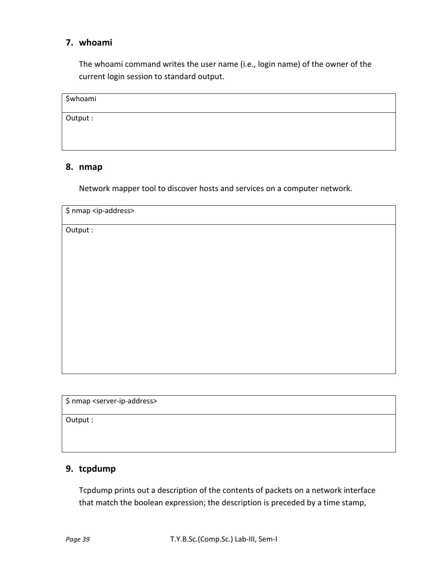#### **7. whoami**

The whoami command writes the user name (i.e., login name) of the owner of the current login session to standard output.

| \$whoami |  |
|----------|--|
|          |  |
|          |  |
|          |  |

Output :

#### **8. nmap**

Network mapper tool to discover hosts and services on a computer network.

\$ nmap <server-ip-address>

Output :

#### **9. tcpdump**

Tcpdump prints out a description of the contents of packets on a network interface that match the boolean expression; the description is preceded by a time stamp,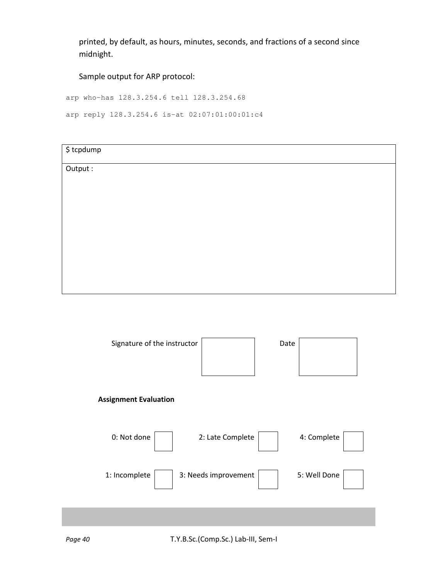printed, by default, as hours, minutes, seconds, and fractions of a second since midnight.

Sample output for ARP protocol:

arp who-has 128.3.254.6 tell 128.3.254.68

arp reply 128.3.254.6 is-at 02:07:01:00:01:c4

| $\frac{1}{2}$ tcpdump |  |  |
|-----------------------|--|--|
|                       |  |  |
| Output:               |  |  |
|                       |  |  |
|                       |  |  |
|                       |  |  |
|                       |  |  |
|                       |  |  |
|                       |  |  |
|                       |  |  |
|                       |  |  |
|                       |  |  |
|                       |  |  |
|                       |  |  |
|                       |  |  |
|                       |  |  |
|                       |  |  |
|                       |  |  |

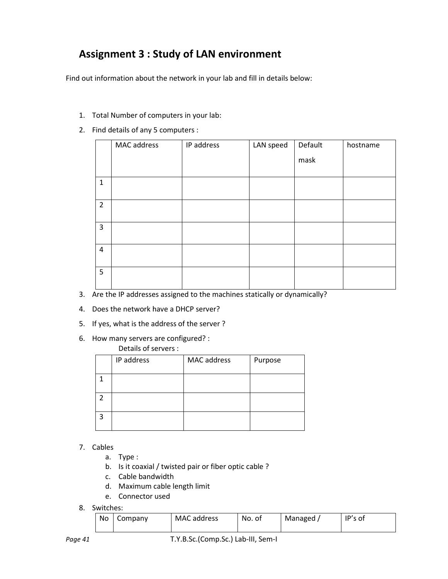# **Assignment 3 : Study of LAN environment**

Find out information about the network in your lab and fill in details below:

- 1. Total Number of computers in your lab:
- 2. Find details of any 5 computers :

|                | MAC address | IP address | LAN speed | Default | hostname |
|----------------|-------------|------------|-----------|---------|----------|
|                |             |            |           | mask    |          |
| $\mathbf{1}$   |             |            |           |         |          |
| $\overline{2}$ |             |            |           |         |          |
| $\mathbf{3}$   |             |            |           |         |          |
| $\overline{4}$ |             |            |           |         |          |
| 5              |             |            |           |         |          |

- 3. Are the IP addresses assigned to the machines statically or dynamically?
- 4. Does the network have a DHCP server?
- 5. If yes, what is the address of the server ?
- 6. How many servers are configured? :

#### Details of servers :

|   | IP address | MAC address | Purpose |
|---|------------|-------------|---------|
|   |            |             |         |
|   |            |             |         |
| 3 |            |             |         |

- 7. Cables
	- a. Type :
	- b. Is it coaxial / twisted pair or fiber optic cable ?
	- c. Cable bandwidth
	- d. Maximum cable length limit
	- e. Connector used
- 8. Switches:

| No | Company | MAC address | No. of | Managed, | IP's of |
|----|---------|-------------|--------|----------|---------|
|    |         |             |        |          |         |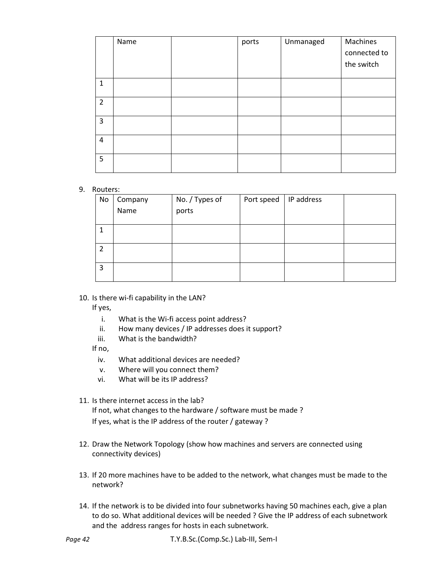|                | Name | ports | Unmanaged | Machines<br>connected to<br>the switch |
|----------------|------|-------|-----------|----------------------------------------|
| $\mathbf{1}$   |      |       |           |                                        |
| $\overline{2}$ |      |       |           |                                        |
| 3              |      |       |           |                                        |
| 4              |      |       |           |                                        |
| 5              |      |       |           |                                        |

#### 9. Routers:

| No | Company | No. / Types of | Port speed | IP address |  |
|----|---------|----------------|------------|------------|--|
|    | Name    | ports          |            |            |  |
|    |         |                |            |            |  |
|    |         |                |            |            |  |
|    |         |                |            |            |  |
|    |         |                |            |            |  |
|    |         |                |            |            |  |
| 3  |         |                |            |            |  |
|    |         |                |            |            |  |

#### 10. Is there wi-fi capability in the LAN?

If yes,

- i. What is the Wi-fi access point address?
- ii. How many devices / IP addresses does it support?
- iii. What is the bandwidth?

If no,

- iv. What additional devices are needed?
- v. Where will you connect them?
- vi. What will be its IP address?
- 11. Is there internet access in the lab?

If not, what changes to the hardware / software must be made ? If yes, what is the IP address of the router / gateway ?

- 12. Draw the Network Topology (show how machines and servers are connected using connectivity devices)
- 13. If 20 more machines have to be added to the network, what changes must be made to the network?
- 14. If the network is to be divided into four subnetworks having 50 machines each, give a plan to do so. What additional devices will be needed ? Give the IP address of each subnetwork and the address ranges for hosts in each subnetwork.

*Page 42* T.Y.B.Sc.(Comp.Sc.) Lab-III, Sem-I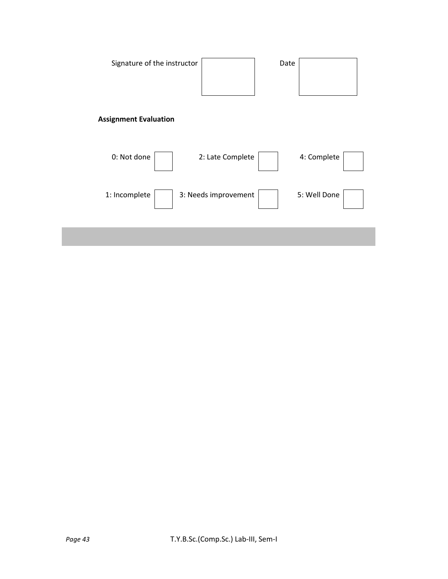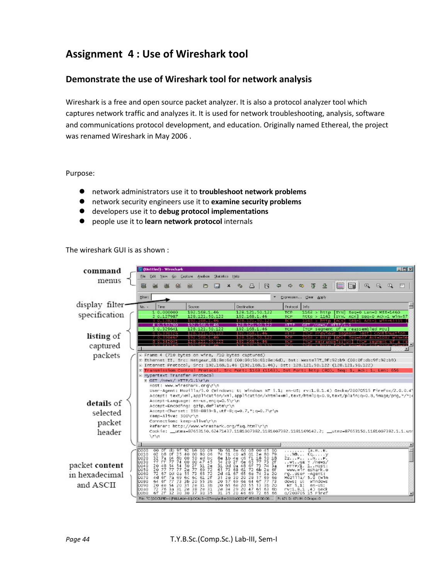# **Assignment 4 : Use of Wireshark tool**

#### **Demonstrate the use of Wireshark tool for network analysis**

Wireshark is a free and open source packet analyzer. It is also a protocol analyzer tool which captures network traffic and analyzes it. It is used for network troubleshooting, analysis, software and communications protocol development, and education. Originally named Ethereal, the project was renamed Wireshark in May 2006 .

#### Purpose:

- network administrators use it to **troubleshoot network problems**
- network security engineers use it to **examine security problems**
- developers use it to **debug protocol implementations**
- people use it to **learn network protocol** internals

#### The wireshark GUI is as shown :

| command         |                              |                                                                                                                                                           | (Untitled) - Wireshark                         |                                         |                   |                                                                                                                                        |             |                      |                                                                                        |                                          |                                              |   |                                                                              |             |                  |                |                     |                                                                           |          |                  |              | $-12 \times$ |
|-----------------|------------------------------|-----------------------------------------------------------------------------------------------------------------------------------------------------------|------------------------------------------------|-----------------------------------------|-------------------|----------------------------------------------------------------------------------------------------------------------------------------|-------------|----------------------|----------------------------------------------------------------------------------------|------------------------------------------|----------------------------------------------|---|------------------------------------------------------------------------------|-------------|------------------|----------------|---------------------|---------------------------------------------------------------------------|----------|------------------|--------------|--------------|
| menus           | File:                        | Edit                                                                                                                                                      |                                                |                                         |                   | Yers So Capture Analyze Statistics Help                                                                                                |             |                      |                                                                                        |                                          |                                              |   |                                                                              |             |                  |                |                     |                                                                           |          |                  |              |              |
|                 | н                            |                                                                                                                                                           |                                                |                                         |                   | Þ                                                                                                                                      |             | $\times$             |                                                                                        | 呂                                        | श्चि                                         | ت | $\Rightarrow$                                                                | <b>RD</b>   | 不                | 县              | E                   | $\mathbb{R}$                                                              | $\oplus$ | $\mathbf{a}$     | $\mathbb{R}$ | FF           |
|                 |                              | piter:<br>* Expression Clear Apply                                                                                                                        |                                                |                                         |                   |                                                                                                                                        |             |                      |                                                                                        |                                          |                                              |   |                                                                              |             |                  |                |                     |                                                                           |          |                  |              |              |
| display filter- | No. -                        | Time                                                                                                                                                      |                                                |                                         | Source            |                                                                                                                                        |             |                      | Destination                                                                            |                                          |                                              |   | Protocol                                                                     | <b>Info</b> |                  |                |                     |                                                                           |          |                  |              |              |
| specification   |                              |                                                                                                                                                           | 1 0.000000<br>2 0.127987                       |                                         |                   | 102.168.1.46<br>128.121.50.122                                                                                                         |             |                      |                                                                                        | 1949年10月10日<br>192.168.1.46              |                                              |   | TCP<br><b>TCP</b>                                                            |             |                  | $h$ ttp > 1163 |                     | 1163 > http [SYN] Seq=0 Len=0 MSS=1460<br>[SYN, ACK] Seg-0 Ack-1 win-57   |          |                  |              |              |
|                 |                              |                                                                                                                                                           | 3 0.128232<br>4 0.153700                       |                                         |                   | 192.168.1.46<br>192.169.1.46                                                                                                           |             |                      |                                                                                        | 128.121.50.122<br>128.121.50.122         |                                              |   | TCP<br><b>HTTP</b>                                                           |             |                  |                | GET /news/ HTTP/1.1 | 1163 > http [ACK] Seg=1 Ack=1 Win=65535                                   |          |                  |              |              |
|                 |                              |                                                                                                                                                           | 5 0.329641<br>6 0.330326                       |                                         |                   | 128.121.50.122<br>128.121.50.122                                                                                                       |             |                      |                                                                                        | 192.168.1.46<br>192.168.1.46             |                                              |   | TCP<br><b>HTTP</b>                                                           |             |                  |                |                     | [TCP segment of a reassembled PDU]<br>Previous secment lost] Continuation |          |                  |              |              |
| listing of      |                              |                                                                                                                                                           | 7 0.330467<br>3 3 3 3 4 5 6 7                  |                                         |                   | 192.168.1.46<br><b>INSTALACTION</b>                                                                                                    |             |                      |                                                                                        | 128.121.50.12<br><b>Listant Contract</b> |                                              |   | TCP<br>TOP                                                                   | n m         |                  | > http         | <b>LACKS</b>        | [TCP Retransmission] [TCP segment of                                      |          | Seg=617 Ack=1082 |              |              |
| captured        |                              |                                                                                                                                                           |                                                |                                         |                   |                                                                                                                                        |             |                      |                                                                                        |                                          |                                              |   |                                                                              |             |                  |                |                     |                                                                           |          |                  |              |              |
| packets         |                              | E Frame 4 (710 bytes on wire, 710 bytes captured)<br>E Ethernet II, Src: Netgear_61:Be:6d (00:09:5b:61:8e:6d), Dst: WestellT_9f:92:b9 (00:0f:db:9f:92:b9) |                                                |                                         |                   |                                                                                                                                        |             |                      |                                                                                        |                                          |                                              |   |                                                                              |             |                  |                |                     |                                                                           |          |                  |              |              |
|                 |                              |                                                                                                                                                           |                                                |                                         |                   | □ Internet Protocol, Src: 192.168.1.46 (192.168.1.46), Dst: 128.121.50.122 (128.121.50.122)                                            |             |                      |                                                                                        |                                          |                                              |   |                                                                              |             |                  |                |                     |                                                                           |          |                  |              |              |
|                 |                              |                                                                                                                                                           | - Hypertext Transfer Protocol                  |                                         |                   | F Transmission Control Protocol, Snc Port: 1163 (1163), Dst Port: http (80), Seq: 1, Ack: 1, Len: 656                                  |             |                      |                                                                                        |                                          |                                              |   |                                                                              |             |                  |                |                     |                                                                           |          |                  |              |              |
|                 |                              |                                                                                                                                                           | E GET /news/ HTTP/1.1\r\n                      |                                         |                   |                                                                                                                                        |             |                      |                                                                                        |                                          |                                              |   |                                                                              |             |                  |                |                     |                                                                           |          |                  |              |              |
|                 |                              |                                                                                                                                                           |                                                |                                         |                   | Host: www.wireshark.org\r\n<br>User-Agent: Mozilla/5.0 (Windows; U; Windows NT 5.1; en-US; rv:1.8.1.4) Gecko/20070515 Firefox/2.0.0.41 |             |                      |                                                                                        |                                          |                                              |   |                                                                              |             |                  |                |                     |                                                                           |          |                  |              |              |
|                 |                              |                                                                                                                                                           |                                                |                                         |                   | Accept: text/xml,application/xml,application/xhtml+xml,text/html;q=0.9,text/plain;q=0.8,image/png,"/";d                                |             |                      |                                                                                        |                                          |                                              |   |                                                                              |             |                  |                |                     |                                                                           |          |                  |              |              |
| details of      |                              |                                                                                                                                                           |                                                |                                         |                   | Accept-Language: en-us,en:q=0.5\r\n<br>Accept-Encoding: gzip, deflate\r\n                                                              |             |                      |                                                                                        |                                          |                                              |   |                                                                              |             |                  |                |                     |                                                                           |          |                  |              |              |
| selected        |                              |                                                                                                                                                           |                                                |                                         |                   | Accept-Charset: ISO-8859-1, utf-8; q=0.7, *; q=0.7\r\n                                                                                 |             |                      |                                                                                        |                                          |                                              |   |                                                                              |             |                  |                |                     |                                                                           |          |                  |              |              |
| packet          |                              | Keep-Alive: 300\r\n<br>Connection: keep-alive\r\n<br>Referer: http://www.wireshark.org/fag.html\r\n                                                       |                                                |                                         |                   |                                                                                                                                        |             |                      |                                                                                        |                                          |                                              |   |                                                                              |             |                  |                |                     |                                                                           |          |                  |              |              |
| header          |                              |                                                                                                                                                           |                                                |                                         |                   | Cookie: __utma=87653150.62471437.1181007382.1181007382.1181169142.2; __utmz=87653150.1181007382.1.1.utr                                |             |                      |                                                                                        |                                          |                                              |   |                                                                              |             |                  |                |                     |                                                                           |          |                  |              |              |
|                 |                              | $\sqrt{L}$                                                                                                                                                |                                                |                                         |                   |                                                                                                                                        |             |                      |                                                                                        |                                          |                                              |   |                                                                              |             |                  |                |                     |                                                                           |          |                  |              |              |
|                 |                              | 000                                                                                                                                                       |                                                |                                         |                   |                                                                                                                                        |             |                      |                                                                                        |                                          |                                              |   |                                                                              |             |                  |                |                     |                                                                           |          |                  |              |              |
|                 | cooo<br>0010                 | 02.                                                                                                                                                       | dlo.<br>ûf<br>bB                               | 9f<br>25<br>40                          | 92 69 00 09<br>00 | B0 06<br>ed bc                                                                                                                         |             | 74 51 CD             | a8                                                                                     | 01                                       | 5b 61 Be 6d 08 00 45 00<br>2e 80 79<br>50 18 |   | a.m. E.<br>$\ldots$ . $\mathbf{0}$ $\mathbf{0}$ $\mathbf{y}$<br>22. P. N. P. |             |                  |                |                     |                                                                           |          |                  |              |              |
| packet content  | 0020<br>0030<br>0040<br>0050 | 32<br>千千<br>20                                                                                                                                            | $\frac{7a}{ff}$<br>$\frac{04}{77}$<br>54<br>4B | $\frac{8}{14}$                          | 00 50<br>00 00    |                                                                                                                                        |             |                      | 08 10 42 36 61<br>54 20 2f 68 65<br>51 0d 0a 48 6f<br>65 73 68 61 72<br>2d 41 67 65 68 | $\frac{18}{77}$<br>$\frac{73}{6}$        | 73 2f<br>74 3a                               |   | WIGE T /news/                                                                |             | HTTP/1. 1.1051:  |                |                     |                                                                           |          |                  |              |              |
| in hexadecimal  | 0060                         | 20.77<br>72 67                                                                                                                                            | 蕊                                              | 50<br>2e<br>55<br>$\frac{54}{77}$<br>ůa |                   | 00 47 45<br>2f 31 2e<br>77 69 72<br>71 65 72                                                                                           |             |                      |                                                                                        | 74                                       | 2e 6f<br>3a 20                               |   | rgUser -Agent:                                                               |             | www.wir eshark.o |                |                     |                                                                           |          |                  |              |              |
|                 | 0070<br>0080                 | 4 d<br>64 6F                                                                                                                                              | 7a<br>65<br>77                                 | 69<br>60<br>73 3b 20                    | 6c                | 61 2f<br>55 3b                                                                                                                         | 35 Ze<br>20 | 30<br>57 69          | 20<br>68                                                                               | 28<br>57                                 | 69 6e<br>64 67 77 73                         |   | Mőz111a/ 5.ű (win<br>dows: Ut                                                |             | uindows          |                |                     |                                                                           |          |                  |              |              |
| and ASCII       | 0090<br>coao                 | 20 de                                                                                                                                                     | 54<br>72 76 3a 31                              | 20<br>35                                | 2e<br>28 38 28 31 | 30<br>31                                                                                                                               |             | 20 65 6e<br>28 34 29 | 2d                                                                                     | 55 53<br>20 47 65                        | 3b 20<br>63 6b                               |   | NT 5.1:<br>rv:1.8.1 .4) Geck                                                 |             | $en$ -us:        |                |                     |                                                                           |          |                  |              |              |
|                 | OdbO                         |                                                                                                                                                           | 67 27 32 30 30 37 30 35                        |                                         |                   | File: ^C:\DOCLINE~: L(PALLAU/~1 (LOCALS~1)Temple the %%%003034" 453 KB 00:00:  P: 671 D: 671 M: O Drops: 0                             |             |                      |                                                                                        | 31 35 20 46 69 72                        | 65 66                                        |   | 0/200705 15 Firef                                                            |             |                  |                |                     |                                                                           |          |                  |              |              |
|                 |                              |                                                                                                                                                           |                                                |                                         |                   |                                                                                                                                        |             |                      |                                                                                        |                                          |                                              |   |                                                                              |             |                  |                |                     |                                                                           |          |                  |              |              |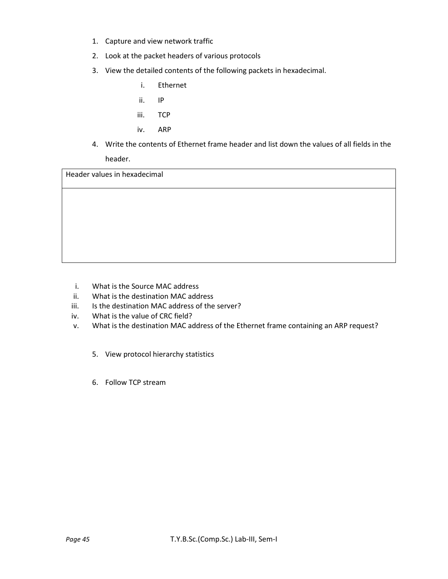- 1. Capture and view network traffic
- 2. Look at the packet headers of various protocols
- 3. View the detailed contents of the following packets in hexadecimal.
	- i. Ethernet
	- ii. IP
	- iii. TCP
	- iv. ARP
- 4. Write the contents of Ethernet frame header and list down the values of all fields in the header.

Header values in hexadecimal

- i. What is the Source MAC address
- ii. What is the destination MAC address
- iii. Is the destination MAC address of the server?
- iv. What is the value of CRC field?
- v. What is the destination MAC address of the Ethernet frame containing an ARP request?
	- 5. View protocol hierarchy statistics
	- 6. Follow TCP stream